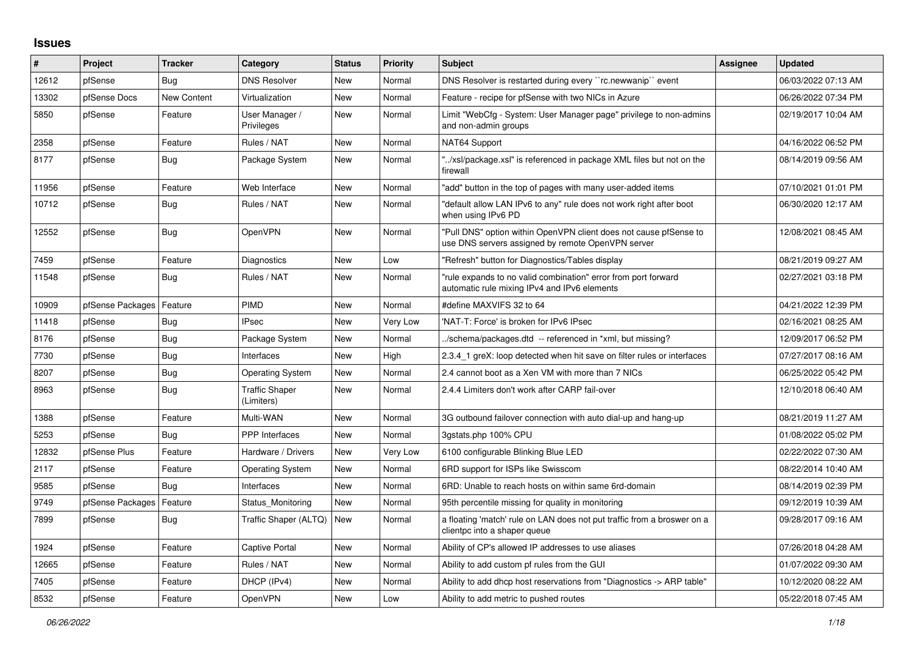## **Issues**

| #     | Project          | <b>Tracker</b> | Category                            | <b>Status</b> | <b>Priority</b> | <b>Subject</b>                                                                                                         | <b>Assignee</b> | <b>Updated</b>      |
|-------|------------------|----------------|-------------------------------------|---------------|-----------------|------------------------------------------------------------------------------------------------------------------------|-----------------|---------------------|
| 12612 | pfSense          | Bug            | <b>DNS Resolver</b>                 | New           | Normal          | DNS Resolver is restarted during every "rc.newwanip" event                                                             |                 | 06/03/2022 07:13 AM |
| 13302 | pfSense Docs     | New Content    | Virtualization                      | <b>New</b>    | Normal          | Feature - recipe for pfSense with two NICs in Azure                                                                    |                 | 06/26/2022 07:34 PM |
| 5850  | pfSense          | Feature        | User Manager /<br>Privileges        | <b>New</b>    | Normal          | Limit "WebCfg - System: User Manager page" privilege to non-admins<br>and non-admin groups                             |                 | 02/19/2017 10:04 AM |
| 2358  | pfSense          | Feature        | Rules / NAT                         | <b>New</b>    | Normal          | NAT64 Support                                                                                                          |                 | 04/16/2022 06:52 PM |
| 8177  | pfSense          | Bug            | Package System                      | <b>New</b>    | Normal          | "/xsl/package.xsl" is referenced in package XML files but not on the<br>firewall                                       |                 | 08/14/2019 09:56 AM |
| 11956 | pfSense          | Feature        | Web Interface                       | <b>New</b>    | Normal          | "add" button in the top of pages with many user-added items                                                            |                 | 07/10/2021 01:01 PM |
| 10712 | pfSense          | <b>Bug</b>     | Rules / NAT                         | <b>New</b>    | Normal          | "default allow LAN IPv6 to any" rule does not work right after boot<br>when using IPv6 PD                              |                 | 06/30/2020 12:17 AM |
| 12552 | pfSense          | Bug            | OpenVPN                             | <b>New</b>    | Normal          | "Pull DNS" option within OpenVPN client does not cause pfSense to<br>use DNS servers assigned by remote OpenVPN server |                 | 12/08/2021 08:45 AM |
| 7459  | pfSense          | Feature        | Diagnostics                         | <b>New</b>    | Low             | "Refresh" button for Diagnostics/Tables display                                                                        |                 | 08/21/2019 09:27 AM |
| 11548 | pfSense          | Bug            | Rules / NAT                         | New           | Normal          | "rule expands to no valid combination" error from port forward<br>automatic rule mixing IPv4 and IPv6 elements         |                 | 02/27/2021 03:18 PM |
| 10909 | pfSense Packages | Feature        | PIMD                                | <b>New</b>    | Normal          | #define MAXVIFS 32 to 64                                                                                               |                 | 04/21/2022 12:39 PM |
| 11418 | pfSense          | Bug            | <b>IPsec</b>                        | <b>New</b>    | Very Low        | 'NAT-T: Force' is broken for IPv6 IPsec                                                                                |                 | 02/16/2021 08:25 AM |
| 8176  | pfSense          | Bug            | Package System                      | <b>New</b>    | Normal          | ./schema/packages.dtd -- referenced in *xml, but missing?                                                              |                 | 12/09/2017 06:52 PM |
| 7730  | pfSense          | Bug            | Interfaces                          | <b>New</b>    | High            | 2.3.4 1 greX: loop detected when hit save on filter rules or interfaces                                                |                 | 07/27/2017 08:16 AM |
| 8207  | pfSense          | <b>Bug</b>     | Operating System                    | <b>New</b>    | Normal          | 2.4 cannot boot as a Xen VM with more than 7 NICs                                                                      |                 | 06/25/2022 05:42 PM |
| 8963  | pfSense          | <b>Bug</b>     | <b>Traffic Shaper</b><br>(Limiters) | <b>New</b>    | Normal          | 2.4.4 Limiters don't work after CARP fail-over                                                                         |                 | 12/10/2018 06:40 AM |
| 1388  | pfSense          | Feature        | Multi-WAN                           | <b>New</b>    | Normal          | 3G outbound failover connection with auto dial-up and hang-up                                                          |                 | 08/21/2019 11:27 AM |
| 5253  | pfSense          | <b>Bug</b>     | <b>PPP</b> Interfaces               | <b>New</b>    | Normal          | 3qstats.php 100% CPU                                                                                                   |                 | 01/08/2022 05:02 PM |
| 12832 | pfSense Plus     | Feature        | Hardware / Drivers                  | <b>New</b>    | Very Low        | 6100 configurable Blinking Blue LED                                                                                    |                 | 02/22/2022 07:30 AM |
| 2117  | pfSense          | Feature        | Operating System                    | <b>New</b>    | Normal          | 6RD support for ISPs like Swisscom                                                                                     |                 | 08/22/2014 10:40 AM |
| 9585  | pfSense          | Bug            | Interfaces                          | New           | Normal          | 6RD: Unable to reach hosts on within same 6rd-domain                                                                   |                 | 08/14/2019 02:39 PM |
| 9749  | pfSense Packages | Feature        | Status Monitoring                   | <b>New</b>    | Normal          | 95th percentile missing for quality in monitoring                                                                      |                 | 09/12/2019 10:39 AM |
| 7899  | pfSense          | <b>Bug</b>     | Traffic Shaper (ALTQ)               | New           | Normal          | a floating 'match' rule on LAN does not put traffic from a broswer on a<br>clientpc into a shaper queue                |                 | 09/28/2017 09:16 AM |
| 1924  | pfSense          | Feature        | Captive Portal                      | <b>New</b>    | Normal          | Ability of CP's allowed IP addresses to use aliases                                                                    |                 | 07/26/2018 04:28 AM |
| 12665 | pfSense          | Feature        | Rules / NAT                         | <b>New</b>    | Normal          | Ability to add custom pf rules from the GUI                                                                            |                 | 01/07/2022 09:30 AM |
| 7405  | pfSense          | Feature        | DHCP (IPv4)                         | <b>New</b>    | Normal          | Ability to add dhcp host reservations from "Diagnostics -> ARP table"                                                  |                 | 10/12/2020 08:22 AM |
| 8532  | pfSense          | Feature        | OpenVPN                             | <b>New</b>    | Low             | Ability to add metric to pushed routes                                                                                 |                 | 05/22/2018 07:45 AM |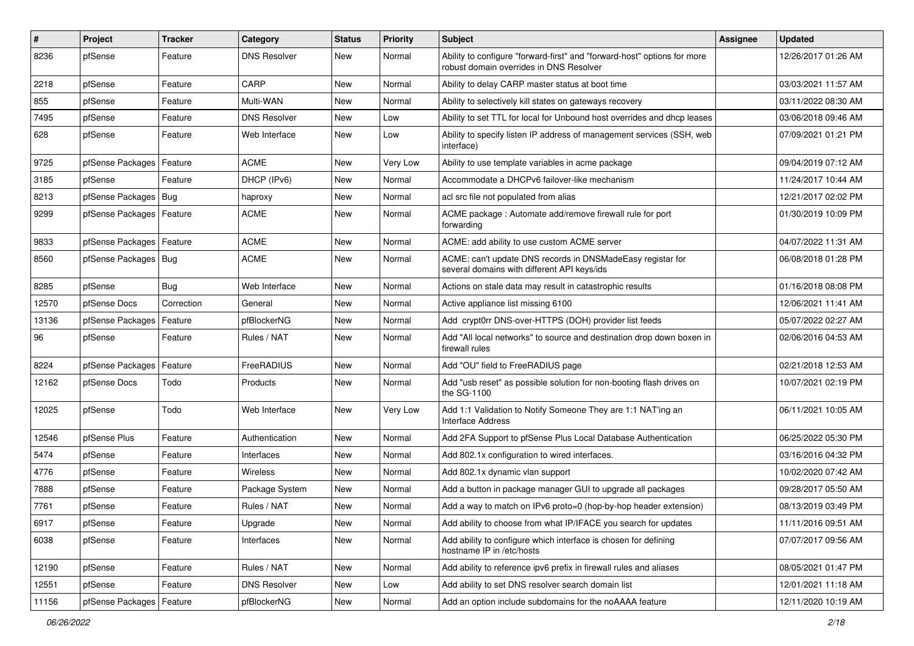| $\vert$ # | Project                | <b>Tracker</b> | Category            | <b>Status</b> | <b>Priority</b> | Subject                                                                                                             | Assignee | <b>Updated</b>      |
|-----------|------------------------|----------------|---------------------|---------------|-----------------|---------------------------------------------------------------------------------------------------------------------|----------|---------------------|
| 8236      | pfSense                | Feature        | DNS Resolver        | New           | Normal          | Ability to configure "forward-first" and "forward-host" options for more<br>robust domain overrides in DNS Resolver |          | 12/26/2017 01:26 AM |
| 2218      | pfSense                | Feature        | CARP                | New           | Normal          | Ability to delay CARP master status at boot time                                                                    |          | 03/03/2021 11:57 AM |
| 855       | pfSense                | Feature        | Multi-WAN           | <b>New</b>    | Normal          | Ability to selectively kill states on gateways recovery                                                             |          | 03/11/2022 08:30 AM |
| 7495      | pfSense                | Feature        | <b>DNS Resolver</b> | New           | Low             | Ability to set TTL for local for Unbound host overrides and dhcp leases                                             |          | 03/06/2018 09:46 AM |
| 628       | pfSense                | Feature        | Web Interface       | New           | Low             | Ability to specify listen IP address of management services (SSH, web<br>interface)                                 |          | 07/09/2021 01:21 PM |
| 9725      | pfSense Packages       | Feature        | ACME                | <b>New</b>    | Very Low        | Ability to use template variables in acme package                                                                   |          | 09/04/2019 07:12 AM |
| 3185      | pfSense                | Feature        | DHCP (IPv6)         | New           | Normal          | Accommodate a DHCPv6 failover-like mechanism                                                                        |          | 11/24/2017 10:44 AM |
| 8213      | pfSense Packages   Bug |                | haproxy             | New           | Normal          | acl src file not populated from alias                                                                               |          | 12/21/2017 02:02 PM |
| 9299      | pfSense Packages       | Feature        | <b>ACME</b>         | New           | Normal          | ACME package: Automate add/remove firewall rule for port<br>forwarding                                              |          | 01/30/2019 10:09 PM |
| 9833      | pfSense Packages       | Feature        | <b>ACME</b>         | New           | Normal          | ACME: add ability to use custom ACME server                                                                         |          | 04/07/2022 11:31 AM |
| 8560      | pfSense Packages   Bug |                | <b>ACME</b>         | New           | Normal          | ACME: can't update DNS records in DNSMadeEasy registar for<br>several domains with different API keys/ids           |          | 06/08/2018 01:28 PM |
| 8285      | pfSense                | <b>Bug</b>     | Web Interface       | <b>New</b>    | Normal          | Actions on stale data may result in catastrophic results                                                            |          | 01/16/2018 08:08 PM |
| 12570     | pfSense Docs           | Correction     | General             | New           | Normal          | Active appliance list missing 6100                                                                                  |          | 12/06/2021 11:41 AM |
| 13136     | pfSense Packages       | Feature        | pfBlockerNG         | New           | Normal          | Add crypt0rr DNS-over-HTTPS (DOH) provider list feeds                                                               |          | 05/07/2022 02:27 AM |
| 96        | pfSense                | Feature        | Rules / NAT         | New           | Normal          | Add "All local networks" to source and destination drop down boxen in<br>firewall rules                             |          | 02/06/2016 04:53 AM |
| 8224      | pfSense Packages       | Feature        | FreeRADIUS          | New           | Normal          | Add "OU" field to FreeRADIUS page                                                                                   |          | 02/21/2018 12:53 AM |
| 12162     | pfSense Docs           | Todo           | Products            | New           | Normal          | Add "usb reset" as possible solution for non-booting flash drives on<br>the SG-1100                                 |          | 10/07/2021 02:19 PM |
| 12025     | pfSense                | Todo           | Web Interface       | New           | Very Low        | Add 1:1 Validation to Notify Someone They are 1:1 NAT'ing an<br><b>Interface Address</b>                            |          | 06/11/2021 10:05 AM |
| 12546     | pfSense Plus           | Feature        | Authentication      | New           | Normal          | Add 2FA Support to pfSense Plus Local Database Authentication                                                       |          | 06/25/2022 05:30 PM |
| 5474      | pfSense                | Feature        | Interfaces          | <b>New</b>    | Normal          | Add 802.1x configuration to wired interfaces.                                                                       |          | 03/16/2016 04:32 PM |
| 4776      | pfSense                | Feature        | Wireless            | New           | Normal          | Add 802.1x dynamic vlan support                                                                                     |          | 10/02/2020 07:42 AM |
| 7888      | pfSense                | Feature        | Package System      | <b>New</b>    | Normal          | Add a button in package manager GUI to upgrade all packages                                                         |          | 09/28/2017 05:50 AM |
| 7761      | pfSense                | Feature        | Rules / NAT         | <b>New</b>    | Normal          | Add a way to match on IPv6 proto=0 (hop-by-hop header extension)                                                    |          | 08/13/2019 03:49 PM |
| 6917      | pfSense                | Feature        | Upgrade             | New           | Normal          | Add ability to choose from what IP/IFACE you search for updates                                                     |          | 11/11/2016 09:51 AM |
| 6038      | pfSense                | Feature        | Interfaces          | New           | Normal          | Add ability to configure which interface is chosen for defining<br>hostname IP in /etc/hosts                        |          | 07/07/2017 09:56 AM |
| 12190     | pfSense                | Feature        | Rules / NAT         | New           | Normal          | Add ability to reference ipv6 prefix in firewall rules and aliases                                                  |          | 08/05/2021 01:47 PM |
| 12551     | pfSense                | Feature        | <b>DNS Resolver</b> | New           | Low             | Add ability to set DNS resolver search domain list                                                                  |          | 12/01/2021 11:18 AM |
| 11156     | pfSense Packages       | Feature        | pfBlockerNG         | New           | Normal          | Add an option include subdomains for the noAAAA feature                                                             |          | 12/11/2020 10:19 AM |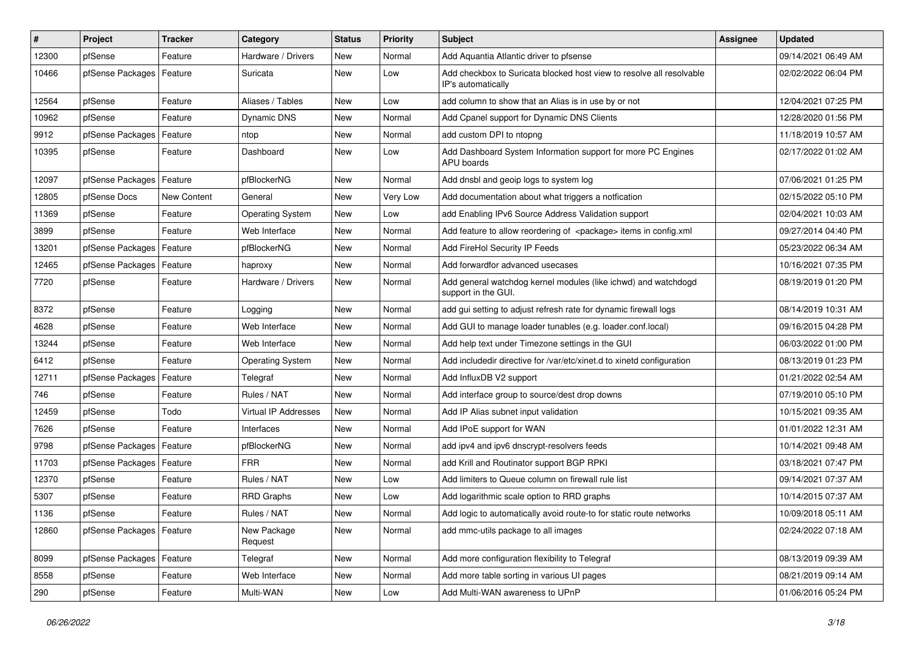| $\vert$ # | Project                    | <b>Tracker</b> | Category                | <b>Status</b> | <b>Priority</b> | Subject                                                                                    | <b>Assignee</b> | <b>Updated</b>      |
|-----------|----------------------------|----------------|-------------------------|---------------|-----------------|--------------------------------------------------------------------------------------------|-----------------|---------------------|
| 12300     | pfSense                    | Feature        | Hardware / Drivers      | New           | Normal          | Add Aquantia Atlantic driver to pfsense                                                    |                 | 09/14/2021 06:49 AM |
| 10466     | pfSense Packages   Feature |                | Suricata                | <b>New</b>    | Low             | Add checkbox to Suricata blocked host view to resolve all resolvable<br>IP's automatically |                 | 02/02/2022 06:04 PM |
| 12564     | pfSense                    | Feature        | Aliases / Tables        | <b>New</b>    | Low             | add column to show that an Alias is in use by or not                                       |                 | 12/04/2021 07:25 PM |
| 10962     | pfSense                    | Feature        | Dynamic DNS             | New           | Normal          | Add Cpanel support for Dynamic DNS Clients                                                 |                 | 12/28/2020 01:56 PM |
| 9912      | pfSense Packages           | Feature        | ntop                    | <b>New</b>    | Normal          | add custom DPI to ntopng                                                                   |                 | 11/18/2019 10:57 AM |
| 10395     | pfSense                    | Feature        | Dashboard               | New           | Low             | Add Dashboard System Information support for more PC Engines<br>APU boards                 |                 | 02/17/2022 01:02 AM |
| 12097     | pfSense Packages           | Feature        | pfBlockerNG             | New           | Normal          | Add dnsbl and geoip logs to system log                                                     |                 | 07/06/2021 01:25 PM |
| 12805     | pfSense Docs               | New Content    | General                 | <b>New</b>    | Very Low        | Add documentation about what triggers a notfication                                        |                 | 02/15/2022 05:10 PM |
| 11369     | pfSense                    | Feature        | Operating System        | New           | Low             | add Enabling IPv6 Source Address Validation support                                        |                 | 02/04/2021 10:03 AM |
| 3899      | pfSense                    | Feature        | Web Interface           | <b>New</b>    | Normal          | Add feature to allow reordering of <package> items in config.xml</package>                 |                 | 09/27/2014 04:40 PM |
| 13201     | pfSense Packages           | Feature        | pfBlockerNG             | New           | Normal          | Add FireHol Security IP Feeds                                                              |                 | 05/23/2022 06:34 AM |
| 12465     | pfSense Packages           | Feature        | haproxy                 | <b>New</b>    | Normal          | Add forwardfor advanced usecases                                                           |                 | 10/16/2021 07:35 PM |
| 7720      | pfSense                    | Feature        | Hardware / Drivers      | New           | Normal          | Add general watchdog kernel modules (like ichwd) and watchdogd<br>support in the GUI.      |                 | 08/19/2019 01:20 PM |
| 8372      | pfSense                    | Feature        | Logging                 | New           | Normal          | add gui setting to adjust refresh rate for dynamic firewall logs                           |                 | 08/14/2019 10:31 AM |
| 4628      | pfSense                    | Feature        | Web Interface           | <b>New</b>    | Normal          | Add GUI to manage loader tunables (e.g. loader.conf.local)                                 |                 | 09/16/2015 04:28 PM |
| 13244     | pfSense                    | Feature        | Web Interface           | New           | Normal          | Add help text under Timezone settings in the GUI                                           |                 | 06/03/2022 01:00 PM |
| 6412      | pfSense                    | Feature        | <b>Operating System</b> | <b>New</b>    | Normal          | Add includedir directive for /var/etc/xinet.d to xinetd configuration                      |                 | 08/13/2019 01:23 PM |
| 12711     | pfSense Packages           | Feature        | Telegraf                | <b>New</b>    | Normal          | Add InfluxDB V2 support                                                                    |                 | 01/21/2022 02:54 AM |
| 746       | pfSense                    | Feature        | Rules / NAT             | New           | Normal          | Add interface group to source/dest drop downs                                              |                 | 07/19/2010 05:10 PM |
| 12459     | pfSense                    | Todo           | Virtual IP Addresses    | <b>New</b>    | Normal          | Add IP Alias subnet input validation                                                       |                 | 10/15/2021 09:35 AM |
| 7626      | pfSense                    | Feature        | Interfaces              | New           | Normal          | Add IPoE support for WAN                                                                   |                 | 01/01/2022 12:31 AM |
| 9798      | pfSense Packages           | Feature        | pfBlockerNG             | <b>New</b>    | Normal          | add ipv4 and ipv6 dnscrypt-resolvers feeds                                                 |                 | 10/14/2021 09:48 AM |
| 11703     | pfSense Packages           | Feature        | <b>FRR</b>              | New           | Normal          | add Krill and Routinator support BGP RPKI                                                  |                 | 03/18/2021 07:47 PM |
| 12370     | pfSense                    | Feature        | Rules / NAT             | <b>New</b>    | Low             | Add limiters to Queue column on firewall rule list                                         |                 | 09/14/2021 07:37 AM |
| 5307      | pfSense                    | Feature        | <b>RRD Graphs</b>       | New           | Low             | Add logarithmic scale option to RRD graphs                                                 |                 | 10/14/2015 07:37 AM |
| 1136      | pfSense                    | Feature        | Rules / NAT             | New           | Normal          | Add logic to automatically avoid route-to for static route networks                        |                 | 10/09/2018 05:11 AM |
| 12860     | pfSense Packages   Feature |                | New Package<br>Request  | New           | Normal          | add mmc-utils package to all images                                                        |                 | 02/24/2022 07:18 AM |
| 8099      | pfSense Packages   Feature |                | Telegraf                | New           | Normal          | Add more configuration flexibility to Telegraf                                             |                 | 08/13/2019 09:39 AM |
| 8558      | pfSense                    | Feature        | Web Interface           | New           | Normal          | Add more table sorting in various UI pages                                                 |                 | 08/21/2019 09:14 AM |
| 290       | pfSense                    | Feature        | Multi-WAN               | New           | Low             | Add Multi-WAN awareness to UPnP                                                            |                 | 01/06/2016 05:24 PM |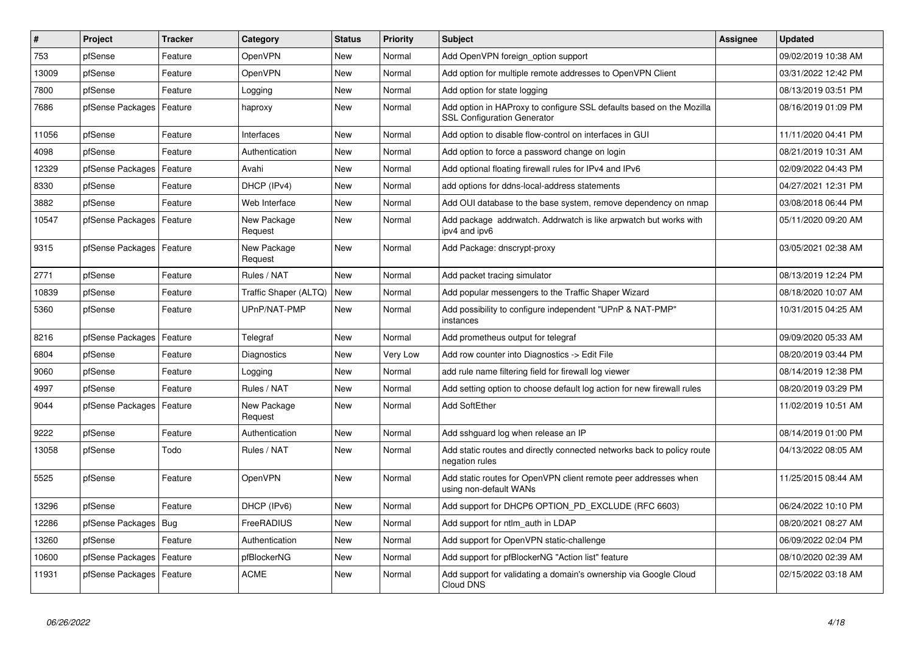| $\vert$ # | Project          | <b>Tracker</b> | Category               | <b>Status</b> | <b>Priority</b> | <b>Subject</b>                                                                                             | <b>Assignee</b> | <b>Updated</b>      |
|-----------|------------------|----------------|------------------------|---------------|-----------------|------------------------------------------------------------------------------------------------------------|-----------------|---------------------|
| 753       | pfSense          | Feature        | OpenVPN                | <b>New</b>    | Normal          | Add OpenVPN foreign option support                                                                         |                 | 09/02/2019 10:38 AM |
| 13009     | pfSense          | Feature        | OpenVPN                | <b>New</b>    | Normal          | Add option for multiple remote addresses to OpenVPN Client                                                 |                 | 03/31/2022 12:42 PM |
| 7800      | pfSense          | Feature        | Logging                | New           | Normal          | Add option for state logging                                                                               |                 | 08/13/2019 03:51 PM |
| 7686      | pfSense Packages | Feature        | haproxy                | New           | Normal          | Add option in HAProxy to configure SSL defaults based on the Mozilla<br><b>SSL Configuration Generator</b> |                 | 08/16/2019 01:09 PM |
| 11056     | pfSense          | Feature        | Interfaces             | <b>New</b>    | Normal          | Add option to disable flow-control on interfaces in GUI                                                    |                 | 11/11/2020 04:41 PM |
| 4098      | pfSense          | Feature        | Authentication         | <b>New</b>    | Normal          | Add option to force a password change on login                                                             |                 | 08/21/2019 10:31 AM |
| 12329     | pfSense Packages | Feature        | Avahi                  | <b>New</b>    | Normal          | Add optional floating firewall rules for IPv4 and IPv6                                                     |                 | 02/09/2022 04:43 PM |
| 8330      | pfSense          | Feature        | DHCP (IPv4)            | <b>New</b>    | Normal          | add options for ddns-local-address statements                                                              |                 | 04/27/2021 12:31 PM |
| 3882      | pfSense          | Feature        | Web Interface          | <b>New</b>    | Normal          | Add OUI database to the base system, remove dependency on nmap                                             |                 | 03/08/2018 06:44 PM |
| 10547     | pfSense Packages | Feature        | New Package<br>Request | New           | Normal          | Add package addrwatch. Addrwatch is like arpwatch but works with<br>ipv4 and ipv6                          |                 | 05/11/2020 09:20 AM |
| 9315      | pfSense Packages | l Feature      | New Package<br>Request | <b>New</b>    | Normal          | Add Package: dnscrypt-proxy                                                                                |                 | 03/05/2021 02:38 AM |
| 2771      | pfSense          | Feature        | Rules / NAT            | <b>New</b>    | Normal          | Add packet tracing simulator                                                                               |                 | 08/13/2019 12:24 PM |
| 10839     | pfSense          | Feature        | Traffic Shaper (ALTQ)  | <b>New</b>    | Normal          | Add popular messengers to the Traffic Shaper Wizard                                                        |                 | 08/18/2020 10:07 AM |
| 5360      | pfSense          | Feature        | UPnP/NAT-PMP           | <b>New</b>    | Normal          | Add possibility to configure independent "UPnP & NAT-PMP"<br>instances                                     |                 | 10/31/2015 04:25 AM |
| 8216      | pfSense Packages | Feature        | Telegraf               | <b>New</b>    | Normal          | Add prometheus output for telegraf                                                                         |                 | 09/09/2020 05:33 AM |
| 6804      | pfSense          | Feature        | Diagnostics            | <b>New</b>    | Very Low        | Add row counter into Diagnostics -> Edit File                                                              |                 | 08/20/2019 03:44 PM |
| 9060      | pfSense          | Feature        | Logging                | <b>New</b>    | Normal          | add rule name filtering field for firewall log viewer                                                      |                 | 08/14/2019 12:38 PM |
| 4997      | pfSense          | Feature        | Rules / NAT            | <b>New</b>    | Normal          | Add setting option to choose default log action for new firewall rules                                     |                 | 08/20/2019 03:29 PM |
| 9044      | pfSense Packages | Feature        | New Package<br>Request | <b>New</b>    | Normal          | <b>Add SoftEther</b>                                                                                       |                 | 11/02/2019 10:51 AM |
| 9222      | pfSense          | Feature        | Authentication         | <b>New</b>    | Normal          | Add sshguard log when release an IP                                                                        |                 | 08/14/2019 01:00 PM |
| 13058     | pfSense          | Todo           | Rules / NAT            | New           | Normal          | Add static routes and directly connected networks back to policy route<br>negation rules                   |                 | 04/13/2022 08:05 AM |
| 5525      | pfSense          | Feature        | OpenVPN                | <b>New</b>    | Normal          | Add static routes for OpenVPN client remote peer addresses when<br>using non-default WANs                  |                 | 11/25/2015 08:44 AM |
| 13296     | pfSense          | Feature        | DHCP (IPv6)            | <b>New</b>    | Normal          | Add support for DHCP6 OPTION PD EXCLUDE (RFC 6603)                                                         |                 | 06/24/2022 10:10 PM |
| 12286     | pfSense Packages | <b>Bug</b>     | FreeRADIUS             | <b>New</b>    | Normal          | Add support for ntlm auth in LDAP                                                                          |                 | 08/20/2021 08:27 AM |
| 13260     | pfSense          | Feature        | Authentication         | <b>New</b>    | Normal          | Add support for OpenVPN static-challenge                                                                   |                 | 06/09/2022 02:04 PM |
| 10600     | pfSense Packages | Feature        | pfBlockerNG            | New           | Normal          | Add support for pfBlockerNG "Action list" feature                                                          |                 | 08/10/2020 02:39 AM |
| 11931     | pfSense Packages | Feature        | <b>ACME</b>            | <b>New</b>    | Normal          | Add support for validating a domain's ownership via Google Cloud<br>Cloud DNS                              |                 | 02/15/2022 03:18 AM |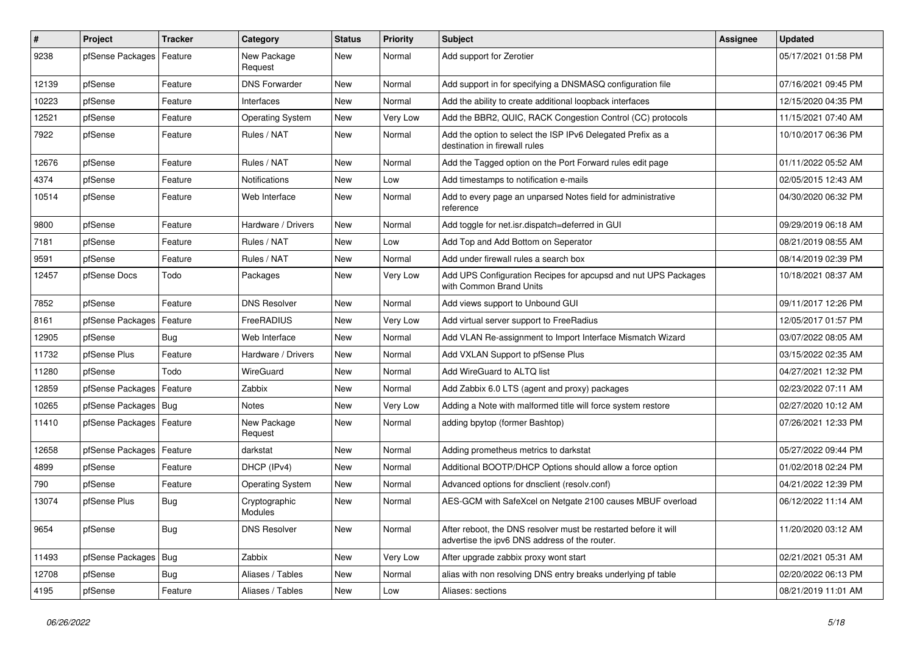| $\vert$ # | Project          | <b>Tracker</b> | Category                 | <b>Status</b> | <b>Priority</b> | <b>Subject</b>                                                                                                   | <b>Assignee</b> | <b>Updated</b>      |
|-----------|------------------|----------------|--------------------------|---------------|-----------------|------------------------------------------------------------------------------------------------------------------|-----------------|---------------------|
| 9238      | pfSense Packages | Feature        | New Package<br>Request   | New           | Normal          | Add support for Zerotier                                                                                         |                 | 05/17/2021 01:58 PM |
| 12139     | pfSense          | Feature        | <b>DNS Forwarder</b>     | New           | Normal          | Add support in for specifying a DNSMASQ configuration file                                                       |                 | 07/16/2021 09:45 PM |
| 10223     | pfSense          | Feature        | Interfaces               | <b>New</b>    | Normal          | Add the ability to create additional loopback interfaces                                                         |                 | 12/15/2020 04:35 PM |
| 12521     | pfSense          | Feature        | <b>Operating System</b>  | New           | Very Low        | Add the BBR2, QUIC, RACK Congestion Control (CC) protocols                                                       |                 | 11/15/2021 07:40 AM |
| 7922      | pfSense          | Feature        | Rules / NAT              | <b>New</b>    | Normal          | Add the option to select the ISP IPv6 Delegated Prefix as a<br>destination in firewall rules                     |                 | 10/10/2017 06:36 PM |
| 12676     | pfSense          | Feature        | Rules / NAT              | <b>New</b>    | Normal          | Add the Tagged option on the Port Forward rules edit page                                                        |                 | 01/11/2022 05:52 AM |
| 4374      | pfSense          | Feature        | Notifications            | New           | Low             | Add timestamps to notification e-mails                                                                           |                 | 02/05/2015 12:43 AM |
| 10514     | pfSense          | Feature        | Web Interface            | <b>New</b>    | Normal          | Add to every page an unparsed Notes field for administrative<br>reference                                        |                 | 04/30/2020 06:32 PM |
| 9800      | pfSense          | Feature        | Hardware / Drivers       | <b>New</b>    | Normal          | Add toggle for net.isr.dispatch=deferred in GUI                                                                  |                 | 09/29/2019 06:18 AM |
| 7181      | pfSense          | Feature        | Rules / NAT              | New           | Low             | Add Top and Add Bottom on Seperator                                                                              |                 | 08/21/2019 08:55 AM |
| 9591      | pfSense          | Feature        | Rules / NAT              | <b>New</b>    | Normal          | Add under firewall rules a search box                                                                            |                 | 08/14/2019 02:39 PM |
| 12457     | pfSense Docs     | Todo           | Packages                 | New           | Very Low        | Add UPS Configuration Recipes for apcupsd and nut UPS Packages<br>with Common Brand Units                        |                 | 10/18/2021 08:37 AM |
| 7852      | pfSense          | Feature        | <b>DNS Resolver</b>      | New           | Normal          | Add views support to Unbound GUI                                                                                 |                 | 09/11/2017 12:26 PM |
| 8161      | pfSense Packages | Feature        | <b>FreeRADIUS</b>        | <b>New</b>    | Very Low        | Add virtual server support to FreeRadius                                                                         |                 | 12/05/2017 01:57 PM |
| 12905     | pfSense          | Bug            | Web Interface            | New           | Normal          | Add VLAN Re-assignment to Import Interface Mismatch Wizard                                                       |                 | 03/07/2022 08:05 AM |
| 11732     | pfSense Plus     | Feature        | Hardware / Drivers       | <b>New</b>    | Normal          | Add VXLAN Support to pfSense Plus                                                                                |                 | 03/15/2022 02:35 AM |
| 11280     | pfSense          | Todo           | WireGuard                | <b>New</b>    | Normal          | Add WireGuard to ALTQ list                                                                                       |                 | 04/27/2021 12:32 PM |
| 12859     | pfSense Packages | Feature        | Zabbix                   | New           | Normal          | Add Zabbix 6.0 LTS (agent and proxy) packages                                                                    |                 | 02/23/2022 07:11 AM |
| 10265     | pfSense Packages | Bug            | Notes                    | <b>New</b>    | Very Low        | Adding a Note with malformed title will force system restore                                                     |                 | 02/27/2020 10:12 AM |
| 11410     | pfSense Packages | Feature        | New Package<br>Request   | New           | Normal          | adding bpytop (former Bashtop)                                                                                   |                 | 07/26/2021 12:33 PM |
| 12658     | pfSense Packages | Feature        | darkstat                 | New           | Normal          | Adding prometheus metrics to darkstat                                                                            |                 | 05/27/2022 09:44 PM |
| 4899      | pfSense          | Feature        | DHCP (IPv4)              | New           | Normal          | Additional BOOTP/DHCP Options should allow a force option                                                        |                 | 01/02/2018 02:24 PM |
| 790       | pfSense          | Feature        | Operating System         | New           | Normal          | Advanced options for dnsclient (resolv.conf)                                                                     |                 | 04/21/2022 12:39 PM |
| 13074     | pfSense Plus     | Bug            | Cryptographic<br>Modules | New           | Normal          | AES-GCM with SafeXcel on Netgate 2100 causes MBUF overload                                                       |                 | 06/12/2022 11:14 AM |
| 9654      | pfSense          | <b>Bug</b>     | <b>DNS Resolver</b>      | New           | Normal          | After reboot, the DNS resolver must be restarted before it will<br>advertise the ipv6 DNS address of the router. |                 | 11/20/2020 03:12 AM |
| 11493     | pfSense Packages | <b>Bug</b>     | Zabbix                   | New           | Very Low        | After upgrade zabbix proxy wont start                                                                            |                 | 02/21/2021 05:31 AM |
| 12708     | pfSense          | <b>Bug</b>     | Aliases / Tables         | New           | Normal          | alias with non resolving DNS entry breaks underlying pf table                                                    |                 | 02/20/2022 06:13 PM |
| 4195      | pfSense          | Feature        | Aliases / Tables         | New           | Low             | Aliases: sections                                                                                                |                 | 08/21/2019 11:01 AM |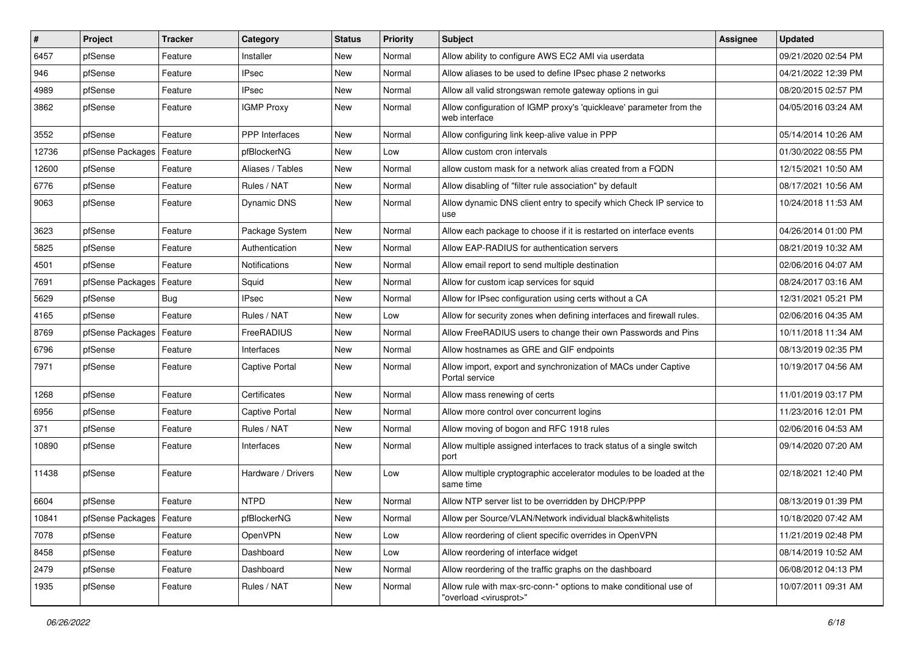| $\sharp$ | Project                    | <b>Tracker</b> | Category              | <b>Status</b> | <b>Priority</b> | <b>Subject</b>                                                                                          | <b>Assignee</b> | <b>Updated</b>      |
|----------|----------------------------|----------------|-----------------------|---------------|-----------------|---------------------------------------------------------------------------------------------------------|-----------------|---------------------|
| 6457     | pfSense                    | Feature        | Installer             | <b>New</b>    | Normal          | Allow ability to configure AWS EC2 AMI via userdata                                                     |                 | 09/21/2020 02:54 PM |
| 946      | pfSense                    | Feature        | <b>IPsec</b>          | <b>New</b>    | Normal          | Allow aliases to be used to define IPsec phase 2 networks                                               |                 | 04/21/2022 12:39 PM |
| 4989     | pfSense                    | Feature        | <b>IPsec</b>          | <b>New</b>    | Normal          | Allow all valid strongswan remote gateway options in qui                                                |                 | 08/20/2015 02:57 PM |
| 3862     | pfSense                    | Feature        | <b>IGMP Proxy</b>     | <b>New</b>    | Normal          | Allow configuration of IGMP proxy's 'quickleave' parameter from the<br>web interface                    |                 | 04/05/2016 03:24 AM |
| 3552     | pfSense                    | Feature        | PPP Interfaces        | New           | Normal          | Allow configuring link keep-alive value in PPP                                                          |                 | 05/14/2014 10:26 AM |
| 12736    | pfSense Packages           | Feature        | pfBlockerNG           | <b>New</b>    | Low             | Allow custom cron intervals                                                                             |                 | 01/30/2022 08:55 PM |
| 12600    | pfSense                    | Feature        | Aliases / Tables      | <b>New</b>    | Normal          | allow custom mask for a network alias created from a FQDN                                               |                 | 12/15/2021 10:50 AM |
| 6776     | pfSense                    | Feature        | Rules / NAT           | New           | Normal          | Allow disabling of "filter rule association" by default                                                 |                 | 08/17/2021 10:56 AM |
| 9063     | pfSense                    | Feature        | Dynamic DNS           | <b>New</b>    | Normal          | Allow dynamic DNS client entry to specify which Check IP service to<br>use                              |                 | 10/24/2018 11:53 AM |
| 3623     | pfSense                    | Feature        | Package System        | <b>New</b>    | Normal          | Allow each package to choose if it is restarted on interface events                                     |                 | 04/26/2014 01:00 PM |
| 5825     | pfSense                    | Feature        | Authentication        | <b>New</b>    | Normal          | Allow EAP-RADIUS for authentication servers                                                             |                 | 08/21/2019 10:32 AM |
| 4501     | pfSense                    | Feature        | <b>Notifications</b>  | <b>New</b>    | Normal          | Allow email report to send multiple destination                                                         |                 | 02/06/2016 04:07 AM |
| 7691     | pfSense Packages           | Feature        | Squid                 | New           | Normal          | Allow for custom icap services for squid                                                                |                 | 08/24/2017 03:16 AM |
| 5629     | pfSense                    | Bug            | <b>IPsec</b>          | <b>New</b>    | Normal          | Allow for IPsec configuration using certs without a CA                                                  |                 | 12/31/2021 05:21 PM |
| 4165     | pfSense                    | Feature        | Rules / NAT           | New           | Low             | Allow for security zones when defining interfaces and firewall rules.                                   |                 | 02/06/2016 04:35 AM |
| 8769     | pfSense Packages           | Feature        | FreeRADIUS            | <b>New</b>    | Normal          | Allow FreeRADIUS users to change their own Passwords and Pins                                           |                 | 10/11/2018 11:34 AM |
| 6796     | pfSense                    | Feature        | Interfaces            | New           | Normal          | Allow hostnames as GRE and GIF endpoints                                                                |                 | 08/13/2019 02:35 PM |
| 7971     | pfSense                    | Feature        | Captive Portal        | <b>New</b>    | Normal          | Allow import, export and synchronization of MACs under Captive<br>Portal service                        |                 | 10/19/2017 04:56 AM |
| 1268     | pfSense                    | Feature        | Certificates          | <b>New</b>    | Normal          | Allow mass renewing of certs                                                                            |                 | 11/01/2019 03:17 PM |
| 6956     | pfSense                    | Feature        | <b>Captive Portal</b> | New           | Normal          | Allow more control over concurrent logins                                                               |                 | 11/23/2016 12:01 PM |
| 371      | pfSense                    | Feature        | Rules / NAT           | <b>New</b>    | Normal          | Allow moving of bogon and RFC 1918 rules                                                                |                 | 02/06/2016 04:53 AM |
| 10890    | pfSense                    | Feature        | Interfaces            | New           | Normal          | Allow multiple assigned interfaces to track status of a single switch<br>port                           |                 | 09/14/2020 07:20 AM |
| 11438    | pfSense                    | Feature        | Hardware / Drivers    | New           | Low             | Allow multiple cryptographic accelerator modules to be loaded at the<br>same time                       |                 | 02/18/2021 12:40 PM |
| 6604     | pfSense                    | Feature        | <b>NTPD</b>           | <b>New</b>    | Normal          | Allow NTP server list to be overridden by DHCP/PPP                                                      |                 | 08/13/2019 01:39 PM |
| 10841    | pfSense Packages   Feature |                | pfBlockerNG           | New           | Normal          | Allow per Source/VLAN/Network individual black&whitelists                                               |                 | 10/18/2020 07:42 AM |
| 7078     | pfSense                    | Feature        | OpenVPN               | New           | Low             | Allow reordering of client specific overrides in OpenVPN                                                |                 | 11/21/2019 02:48 PM |
| 8458     | pfSense                    | Feature        | Dashboard             | New           | Low             | Allow reordering of interface widget                                                                    |                 | 08/14/2019 10:52 AM |
| 2479     | pfSense                    | Feature        | Dashboard             | New           | Normal          | Allow reordering of the traffic graphs on the dashboard                                                 |                 | 06/08/2012 04:13 PM |
| 1935     | pfSense                    | Feature        | Rules / NAT           | New           | Normal          | Allow rule with max-src-conn-* options to make conditional use of<br>"overload <virusprot>"</virusprot> |                 | 10/07/2011 09:31 AM |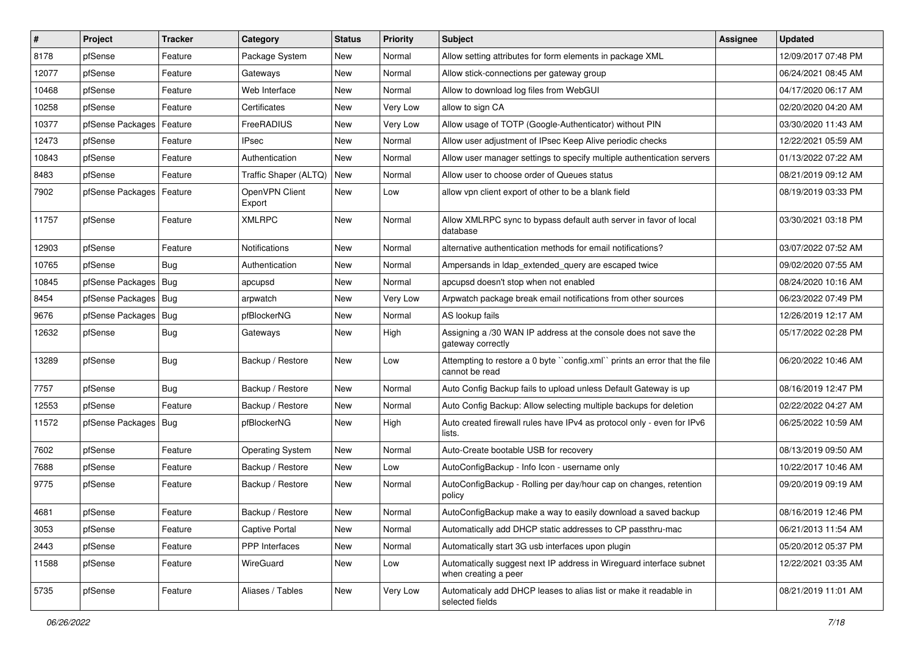| #     | Project                | <b>Tracker</b> | Category                 | <b>Status</b> | <b>Priority</b> | Subject                                                                                     | <b>Assignee</b> | <b>Updated</b>      |
|-------|------------------------|----------------|--------------------------|---------------|-----------------|---------------------------------------------------------------------------------------------|-----------------|---------------------|
| 8178  | pfSense                | Feature        | Package System           | New           | Normal          | Allow setting attributes for form elements in package XML                                   |                 | 12/09/2017 07:48 PM |
| 12077 | pfSense                | Feature        | Gateways                 | New           | Normal          | Allow stick-connections per gateway group                                                   |                 | 06/24/2021 08:45 AM |
| 10468 | pfSense                | Feature        | Web Interface            | New           | Normal          | Allow to download log files from WebGUI                                                     |                 | 04/17/2020 06:17 AM |
| 10258 | pfSense                | Feature        | Certificates             | New           | Very Low        | allow to sign CA                                                                            |                 | 02/20/2020 04:20 AM |
| 10377 | pfSense Packages       | Feature        | FreeRADIUS               | New           | Very Low        | Allow usage of TOTP (Google-Authenticator) without PIN                                      |                 | 03/30/2020 11:43 AM |
| 12473 | pfSense                | Feature        | <b>IPsec</b>             | New           | Normal          | Allow user adjustment of IPsec Keep Alive periodic checks                                   |                 | 12/22/2021 05:59 AM |
| 10843 | pfSense                | Feature        | Authentication           | New           | Normal          | Allow user manager settings to specify multiple authentication servers                      |                 | 01/13/2022 07:22 AM |
| 8483  | pfSense                | Feature        | Traffic Shaper (ALTQ)    | New           | Normal          | Allow user to choose order of Queues status                                                 |                 | 08/21/2019 09:12 AM |
| 7902  | pfSense Packages       | Feature        | OpenVPN Client<br>Export | New           | Low             | allow vpn client export of other to be a blank field                                        |                 | 08/19/2019 03:33 PM |
| 11757 | pfSense                | Feature        | <b>XMLRPC</b>            | New           | Normal          | Allow XMLRPC sync to bypass default auth server in favor of local<br>database               |                 | 03/30/2021 03:18 PM |
| 12903 | pfSense                | Feature        | <b>Notifications</b>     | New           | Normal          | alternative authentication methods for email notifications?                                 |                 | 03/07/2022 07:52 AM |
| 10765 | pfSense                | <b>Bug</b>     | Authentication           | New           | Normal          | Ampersands in Idap extended query are escaped twice                                         |                 | 09/02/2020 07:55 AM |
| 10845 | pfSense Packages   Bug |                | apcupsd                  | New           | Normal          | apcupsd doesn't stop when not enabled                                                       |                 | 08/24/2020 10:16 AM |
| 8454  | pfSense Packages       | <b>Bug</b>     | arpwatch                 | New           | Very Low        | Arpwatch package break email notifications from other sources                               |                 | 06/23/2022 07:49 PM |
| 9676  | pfSense Packages       | Bug            | pfBlockerNG              | New           | Normal          | AS lookup fails                                                                             |                 | 12/26/2019 12:17 AM |
| 12632 | pfSense                | Bug            | Gateways                 | New           | High            | Assigning a /30 WAN IP address at the console does not save the<br>gateway correctly        |                 | 05/17/2022 02:28 PM |
| 13289 | pfSense                | Bug            | Backup / Restore         | <b>New</b>    | Low             | Attempting to restore a 0 byte "config.xml" prints an error that the file<br>cannot be read |                 | 06/20/2022 10:46 AM |
| 7757  | pfSense                | Bug            | Backup / Restore         | New           | Normal          | Auto Config Backup fails to upload unless Default Gateway is up                             |                 | 08/16/2019 12:47 PM |
| 12553 | pfSense                | Feature        | Backup / Restore         | New           | Normal          | Auto Config Backup: Allow selecting multiple backups for deletion                           |                 | 02/22/2022 04:27 AM |
| 11572 | pfSense Packages       | Bug            | pfBlockerNG              | New           | High            | Auto created firewall rules have IPv4 as protocol only - even for IPv6<br>lists.            |                 | 06/25/2022 10:59 AM |
| 7602  | pfSense                | Feature        | <b>Operating System</b>  | New           | Normal          | Auto-Create bootable USB for recovery                                                       |                 | 08/13/2019 09:50 AM |
| 7688  | pfSense                | Feature        | Backup / Restore         | New           | Low             | AutoConfigBackup - Info Icon - username only                                                |                 | 10/22/2017 10:46 AM |
| 9775  | pfSense                | Feature        | Backup / Restore         | New           | Normal          | AutoConfigBackup - Rolling per day/hour cap on changes, retention<br>policy                 |                 | 09/20/2019 09:19 AM |
| 4681  | pfSense                | Feature        | Backup / Restore         | New           | Normal          | AutoConfigBackup make a way to easily download a saved backup                               |                 | 08/16/2019 12:46 PM |
| 3053  | pfSense                | Feature        | Captive Portal           | New           | Normal          | Automatically add DHCP static addresses to CP passthru-mac                                  |                 | 06/21/2013 11:54 AM |
| 2443  | pfSense                | Feature        | PPP Interfaces           | New           | Normal          | Automatically start 3G usb interfaces upon plugin                                           |                 | 05/20/2012 05:37 PM |
| 11588 | pfSense                | Feature        | WireGuard                | New           | Low             | Automatically suggest next IP address in Wireguard interface subnet<br>when creating a peer |                 | 12/22/2021 03:35 AM |
| 5735  | pfSense                | Feature        | Aliases / Tables         | New           | Very Low        | Automaticaly add DHCP leases to alias list or make it readable in<br>selected fields        |                 | 08/21/2019 11:01 AM |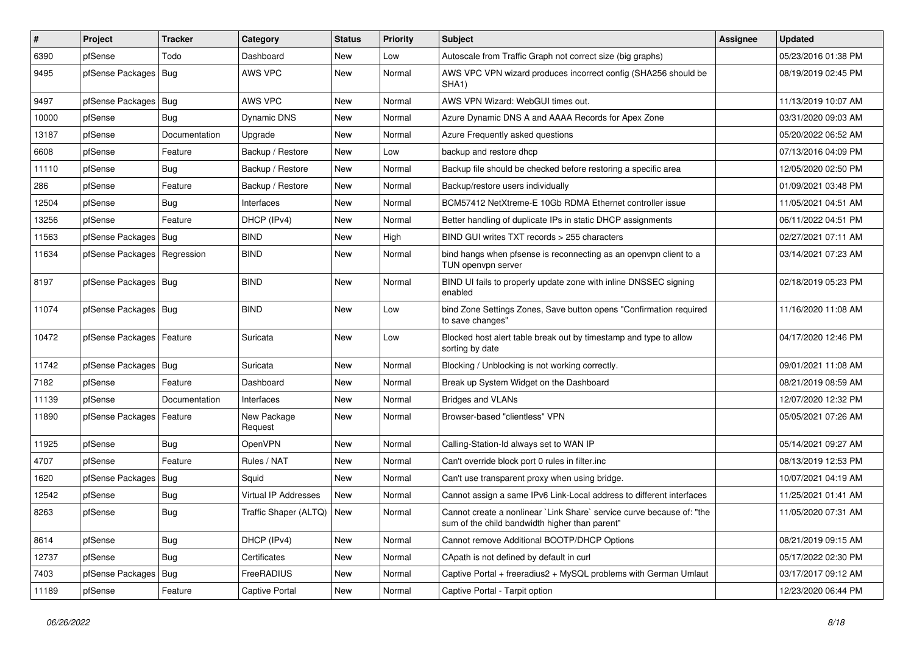| #     | Project                       | <b>Tracker</b> | Category                  | <b>Status</b> | <b>Priority</b> | Subject                                                                                                                 | <b>Assignee</b> | <b>Updated</b>      |
|-------|-------------------------------|----------------|---------------------------|---------------|-----------------|-------------------------------------------------------------------------------------------------------------------------|-----------------|---------------------|
| 6390  | pfSense                       | Todo           | Dashboard                 | New           | Low             | Autoscale from Traffic Graph not correct size (big graphs)                                                              |                 | 05/23/2016 01:38 PM |
| 9495  | pfSense Packages   Bug        |                | AWS VPC                   | New           | Normal          | AWS VPC VPN wizard produces incorrect config (SHA256 should be<br>SHA1)                                                 |                 | 08/19/2019 02:45 PM |
| 9497  | pfSense Packages   Bug        |                | AWS VPC                   | <b>New</b>    | Normal          | AWS VPN Wizard: WebGUI times out.                                                                                       |                 | 11/13/2019 10:07 AM |
| 10000 | pfSense                       | Bug            | Dynamic DNS               | New           | Normal          | Azure Dynamic DNS A and AAAA Records for Apex Zone                                                                      |                 | 03/31/2020 09:03 AM |
| 13187 | pfSense                       | Documentation  | Upgrade                   | <b>New</b>    | Normal          | Azure Frequently asked questions                                                                                        |                 | 05/20/2022 06:52 AM |
| 6608  | pfSense                       | Feature        | Backup / Restore          | <b>New</b>    | Low             | backup and restore dhcp                                                                                                 |                 | 07/13/2016 04:09 PM |
| 11110 | pfSense                       | Bug            | Backup / Restore          | <b>New</b>    | Normal          | Backup file should be checked before restoring a specific area                                                          |                 | 12/05/2020 02:50 PM |
| 286   | pfSense                       | Feature        | Backup / Restore          | New           | Normal          | Backup/restore users individually                                                                                       |                 | 01/09/2021 03:48 PM |
| 12504 | pfSense                       | <b>Bug</b>     | Interfaces                | <b>New</b>    | Normal          | BCM57412 NetXtreme-E 10Gb RDMA Ethernet controller issue                                                                |                 | 11/05/2021 04:51 AM |
| 13256 | pfSense                       | Feature        | DHCP (IPv4)               | New           | Normal          | Better handling of duplicate IPs in static DHCP assignments                                                             |                 | 06/11/2022 04:51 PM |
| 11563 | pfSense Packages   Bug        |                | <b>BIND</b>               | <b>New</b>    | High            | BIND GUI writes TXT records > 255 characters                                                                            |                 | 02/27/2021 07:11 AM |
| 11634 | pfSense Packages   Regression |                | <b>BIND</b>               | New           | Normal          | bind hangs when pfsense is reconnecting as an openvpn client to a<br>TUN openvpn server                                 |                 | 03/14/2021 07:23 AM |
| 8197  | pfSense Packages   Bug        |                | <b>BIND</b>               | New           | Normal          | BIND UI fails to properly update zone with inline DNSSEC signing<br>enabled                                             |                 | 02/18/2019 05:23 PM |
| 11074 | pfSense Packages Bug          |                | <b>BIND</b>               | New           | Low             | bind Zone Settings Zones, Save button opens "Confirmation required<br>to save changes"                                  |                 | 11/16/2020 11:08 AM |
| 10472 | pfSense Packages   Feature    |                | Suricata                  | New           | Low             | Blocked host alert table break out by timestamp and type to allow<br>sorting by date                                    |                 | 04/17/2020 12:46 PM |
| 11742 | pfSense Packages   Bug        |                | Suricata                  | New           | Normal          | Blocking / Unblocking is not working correctly.                                                                         |                 | 09/01/2021 11:08 AM |
| 7182  | pfSense                       | Feature        | Dashboard                 | New           | Normal          | Break up System Widget on the Dashboard                                                                                 |                 | 08/21/2019 08:59 AM |
| 11139 | pfSense                       | Documentation  | Interfaces                | New           | Normal          | <b>Bridges and VLANs</b>                                                                                                |                 | 12/07/2020 12:32 PM |
| 11890 | pfSense Packages              | Feature        | New Package<br>Request    | <b>New</b>    | Normal          | Browser-based "clientless" VPN                                                                                          |                 | 05/05/2021 07:26 AM |
| 11925 | pfSense                       | <b>Bug</b>     | OpenVPN                   | New           | Normal          | Calling-Station-Id always set to WAN IP                                                                                 |                 | 05/14/2021 09:27 AM |
| 4707  | pfSense                       | Feature        | Rules / NAT               | New           | Normal          | Can't override block port 0 rules in filter.inc                                                                         |                 | 08/13/2019 12:53 PM |
| 1620  | pfSense Packages              | <b>Bug</b>     | Squid                     | <b>New</b>    | Normal          | Can't use transparent proxy when using bridge.                                                                          |                 | 10/07/2021 04:19 AM |
| 12542 | pfSense                       | <b>Bug</b>     | Virtual IP Addresses      | <b>New</b>    | Normal          | Cannot assign a same IPv6 Link-Local address to different interfaces                                                    |                 | 11/25/2021 01:41 AM |
| 8263  | pfSense                       | Bug            | Traffic Shaper (ALTQ) New |               | Normal          | Cannot create a nonlinear `Link Share` service curve because of: "the<br>sum of the child bandwidth higher than parent" |                 | 11/05/2020 07:31 AM |
| 8614  | pfSense                       | <b>Bug</b>     | DHCP (IPv4)               | New           | Normal          | Cannot remove Additional BOOTP/DHCP Options                                                                             |                 | 08/21/2019 09:15 AM |
| 12737 | pfSense                       | <b>Bug</b>     | Certificates              | New           | Normal          | CApath is not defined by default in curl                                                                                |                 | 05/17/2022 02:30 PM |
| 7403  | pfSense Packages              | Bug            | FreeRADIUS                | <b>New</b>    | Normal          | Captive Portal + freeradius2 + MySQL problems with German Umlaut                                                        |                 | 03/17/2017 09:12 AM |
| 11189 | pfSense                       | Feature        | Captive Portal            | New           | Normal          | Captive Portal - Tarpit option                                                                                          |                 | 12/23/2020 06:44 PM |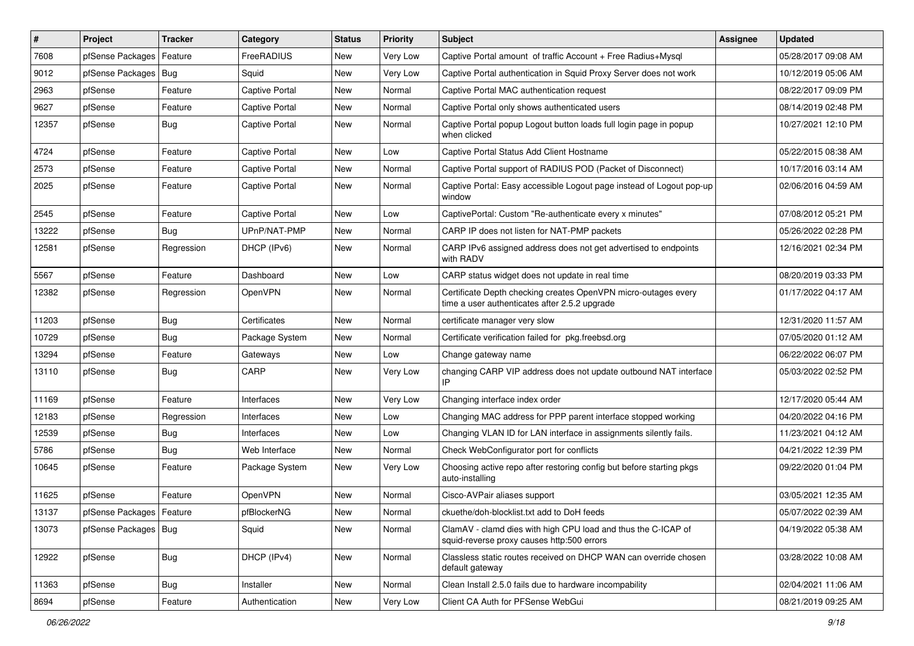| #     | Project                    | <b>Tracker</b> | Category       | <b>Status</b> | <b>Priority</b> | Subject                                                                                                         | Assignee | <b>Updated</b>      |
|-------|----------------------------|----------------|----------------|---------------|-----------------|-----------------------------------------------------------------------------------------------------------------|----------|---------------------|
| 7608  | pfSense Packages           | Feature        | FreeRADIUS     | New           | Very Low        | Captive Portal amount of traffic Account + Free Radius+Mysql                                                    |          | 05/28/2017 09:08 AM |
| 9012  | pfSense Packages   Bug     |                | Squid          | New           | Very Low        | Captive Portal authentication in Squid Proxy Server does not work                                               |          | 10/12/2019 05:06 AM |
| 2963  | pfSense                    | Feature        | Captive Portal | New           | Normal          | Captive Portal MAC authentication request                                                                       |          | 08/22/2017 09:09 PM |
| 9627  | pfSense                    | Feature        | Captive Portal | <b>New</b>    | Normal          | Captive Portal only shows authenticated users                                                                   |          | 08/14/2019 02:48 PM |
| 12357 | pfSense                    | <b>Bug</b>     | Captive Portal | New           | Normal          | Captive Portal popup Logout button loads full login page in popup<br>when clicked                               |          | 10/27/2021 12:10 PM |
| 4724  | pfSense                    | Feature        | Captive Portal | New           | Low             | Captive Portal Status Add Client Hostname                                                                       |          | 05/22/2015 08:38 AM |
| 2573  | pfSense                    | Feature        | Captive Portal | <b>New</b>    | Normal          | Captive Portal support of RADIUS POD (Packet of Disconnect)                                                     |          | 10/17/2016 03:14 AM |
| 2025  | pfSense                    | Feature        | Captive Portal | New           | Normal          | Captive Portal: Easy accessible Logout page instead of Logout pop-up<br>window                                  |          | 02/06/2016 04:59 AM |
| 2545  | pfSense                    | Feature        | Captive Portal | <b>New</b>    | Low             | CaptivePortal: Custom "Re-authenticate every x minutes"                                                         |          | 07/08/2012 05:21 PM |
| 13222 | pfSense                    | Bug            | UPnP/NAT-PMP   | <b>New</b>    | Normal          | CARP IP does not listen for NAT-PMP packets                                                                     |          | 05/26/2022 02:28 PM |
| 12581 | pfSense                    | Regression     | DHCP (IPv6)    | New           | Normal          | CARP IPv6 assigned address does not get advertised to endpoints<br>with RADV                                    |          | 12/16/2021 02:34 PM |
| 5567  | pfSense                    | Feature        | Dashboard      | New           | Low             | CARP status widget does not update in real time                                                                 |          | 08/20/2019 03:33 PM |
| 12382 | pfSense                    | Regression     | OpenVPN        | New           | Normal          | Certificate Depth checking creates OpenVPN micro-outages every<br>time a user authenticates after 2.5.2 upgrade |          | 01/17/2022 04:17 AM |
| 11203 | pfSense                    | Bug            | Certificates   | New           | Normal          | certificate manager very slow                                                                                   |          | 12/31/2020 11:57 AM |
| 10729 | pfSense                    | Bug            | Package System | <b>New</b>    | Normal          | Certificate verification failed for pkg.freebsd.org                                                             |          | 07/05/2020 01:12 AM |
| 13294 | pfSense                    | Feature        | Gateways       | New           | Low             | Change gateway name                                                                                             |          | 06/22/2022 06:07 PM |
| 13110 | pfSense                    | Bug            | CARP           | New           | Very Low        | changing CARP VIP address does not update outbound NAT interface<br>IP                                          |          | 05/03/2022 02:52 PM |
| 11169 | pfSense                    | Feature        | Interfaces     | New           | Very Low        | Changing interface index order                                                                                  |          | 12/17/2020 05:44 AM |
| 12183 | pfSense                    | Regression     | Interfaces     | New           | Low             | Changing MAC address for PPP parent interface stopped working                                                   |          | 04/20/2022 04:16 PM |
| 12539 | pfSense                    | <b>Bug</b>     | Interfaces     | New           | Low             | Changing VLAN ID for LAN interface in assignments silently fails.                                               |          | 11/23/2021 04:12 AM |
| 5786  | pfSense                    | Bug            | Web Interface  | New           | Normal          | Check WebConfigurator port for conflicts                                                                        |          | 04/21/2022 12:39 PM |
| 10645 | pfSense                    | Feature        | Package System | New           | Very Low        | Choosing active repo after restoring config but before starting pkgs<br>auto-installing                         |          | 09/22/2020 01:04 PM |
| 11625 | pfSense                    | Feature        | <b>OpenVPN</b> | <b>New</b>    | Normal          | Cisco-AVPair aliases support                                                                                    |          | 03/05/2021 12:35 AM |
| 13137 | pfSense Packages   Feature |                | pfBlockerNG    | New           | Normal          | ckuethe/doh-blocklist.txt add to DoH feeds                                                                      |          | 05/07/2022 02:39 AM |
| 13073 | pfSense Packages   Bug     |                | Squid          | New           | Normal          | ClamAV - clamd dies with high CPU load and thus the C-ICAP of<br>squid-reverse proxy causes http:500 errors     |          | 04/19/2022 05:38 AM |
| 12922 | pfSense                    | Bug            | DHCP (IPv4)    | New           | Normal          | Classless static routes received on DHCP WAN can override chosen<br>default gateway                             |          | 03/28/2022 10:08 AM |
| 11363 | pfSense                    | Bug            | Installer      | New           | Normal          | Clean Install 2.5.0 fails due to hardware incompability                                                         |          | 02/04/2021 11:06 AM |
| 8694  | pfSense                    | Feature        | Authentication | New           | Very Low        | Client CA Auth for PFSense WebGui                                                                               |          | 08/21/2019 09:25 AM |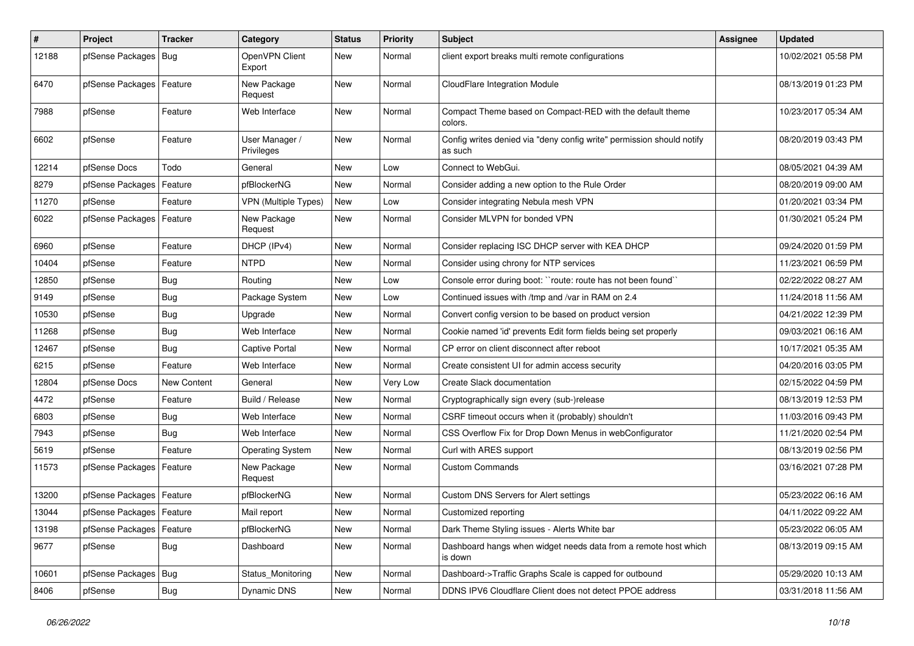| $\vert$ # | Project                    | <b>Tracker</b> | Category                     | <b>Status</b> | Priority | Subject                                                                          | <b>Assignee</b> | <b>Updated</b>      |
|-----------|----------------------------|----------------|------------------------------|---------------|----------|----------------------------------------------------------------------------------|-----------------|---------------------|
| 12188     | pfSense Packages           | Bug            | OpenVPN Client<br>Export     | New           | Normal   | client export breaks multi remote configurations                                 |                 | 10/02/2021 05:58 PM |
| 6470      | pfSense Packages           | Feature        | New Package<br>Request       | New           | Normal   | CloudFlare Integration Module                                                    |                 | 08/13/2019 01:23 PM |
| 7988      | pfSense                    | Feature        | Web Interface                | New           | Normal   | Compact Theme based on Compact-RED with the default theme<br>colors.             |                 | 10/23/2017 05:34 AM |
| 6602      | pfSense                    | Feature        | User Manager /<br>Privileges | New           | Normal   | Config writes denied via "deny config write" permission should notify<br>as such |                 | 08/20/2019 03:43 PM |
| 12214     | pfSense Docs               | Todo           | General                      | New           | Low      | Connect to WebGui.                                                               |                 | 08/05/2021 04:39 AM |
| 8279      | pfSense Packages           | Feature        | pfBlockerNG                  | <b>New</b>    | Normal   | Consider adding a new option to the Rule Order                                   |                 | 08/20/2019 09:00 AM |
| 11270     | pfSense                    | Feature        | VPN (Multiple Types)         | New           | Low      | Consider integrating Nebula mesh VPN                                             |                 | 01/20/2021 03:34 PM |
| 6022      | pfSense Packages   Feature |                | New Package<br>Request       | New           | Normal   | Consider MLVPN for bonded VPN                                                    |                 | 01/30/2021 05:24 PM |
| 6960      | pfSense                    | Feature        | DHCP (IPv4)                  | New           | Normal   | Consider replacing ISC DHCP server with KEA DHCP                                 |                 | 09/24/2020 01:59 PM |
| 10404     | pfSense                    | Feature        | <b>NTPD</b>                  | <b>New</b>    | Normal   | Consider using chrony for NTP services                                           |                 | 11/23/2021 06:59 PM |
| 12850     | pfSense                    | <b>Bug</b>     | Routing                      | <b>New</b>    | Low      | Console error during boot: "route: route has not been found"                     |                 | 02/22/2022 08:27 AM |
| 9149      | pfSense                    | <b>Bug</b>     | Package System               | New           | Low      | Continued issues with /tmp and /var in RAM on 2.4                                |                 | 11/24/2018 11:56 AM |
| 10530     | pfSense                    | <b>Bug</b>     | Upgrade                      | <b>New</b>    | Normal   | Convert config version to be based on product version                            |                 | 04/21/2022 12:39 PM |
| 11268     | pfSense                    | <b>Bug</b>     | Web Interface                | New           | Normal   | Cookie named 'id' prevents Edit form fields being set properly                   |                 | 09/03/2021 06:16 AM |
| 12467     | pfSense                    | <b>Bug</b>     | Captive Portal               | New           | Normal   | CP error on client disconnect after reboot                                       |                 | 10/17/2021 05:35 AM |
| 6215      | pfSense                    | Feature        | Web Interface                | New           | Normal   | Create consistent UI for admin access security                                   |                 | 04/20/2016 03:05 PM |
| 12804     | pfSense Docs               | New Content    | General                      | New           | Very Low | Create Slack documentation                                                       |                 | 02/15/2022 04:59 PM |
| 4472      | pfSense                    | Feature        | Build / Release              | <b>New</b>    | Normal   | Cryptographically sign every (sub-)release                                       |                 | 08/13/2019 12:53 PM |
| 6803      | pfSense                    | <b>Bug</b>     | Web Interface                | <b>New</b>    | Normal   | CSRF timeout occurs when it (probably) shouldn't                                 |                 | 11/03/2016 09:43 PM |
| 7943      | pfSense                    | <b>Bug</b>     | Web Interface                | <b>New</b>    | Normal   | CSS Overflow Fix for Drop Down Menus in webConfigurator                          |                 | 11/21/2020 02:54 PM |
| 5619      | pfSense                    | Feature        | <b>Operating System</b>      | New           | Normal   | Curl with ARES support                                                           |                 | 08/13/2019 02:56 PM |
| 11573     | pfSense Packages           | Feature        | New Package<br>Request       | New           | Normal   | <b>Custom Commands</b>                                                           |                 | 03/16/2021 07:28 PM |
| 13200     | pfSense Packages           | Feature        | pfBlockerNG                  | New           | Normal   | Custom DNS Servers for Alert settings                                            |                 | 05/23/2022 06:16 AM |
| 13044     | pfSense Packages   Feature |                | Mail report                  | New           | Normal   | Customized reporting                                                             |                 | 04/11/2022 09:22 AM |
| 13198     | pfSense Packages           | Feature        | pfBlockerNG                  | New           | Normal   | Dark Theme Styling issues - Alerts White bar                                     |                 | 05/23/2022 06:05 AM |
| 9677      | pfSense                    | <b>Bug</b>     | Dashboard                    | New           | Normal   | Dashboard hangs when widget needs data from a remote host which<br>is down       |                 | 08/13/2019 09:15 AM |
| 10601     | pfSense Packages           | <b>Bug</b>     | Status_Monitoring            | New           | Normal   | Dashboard->Traffic Graphs Scale is capped for outbound                           |                 | 05/29/2020 10:13 AM |
| 8406      | pfSense                    | <b>Bug</b>     | Dynamic DNS                  | New           | Normal   | DDNS IPV6 Cloudflare Client does not detect PPOE address                         |                 | 03/31/2018 11:56 AM |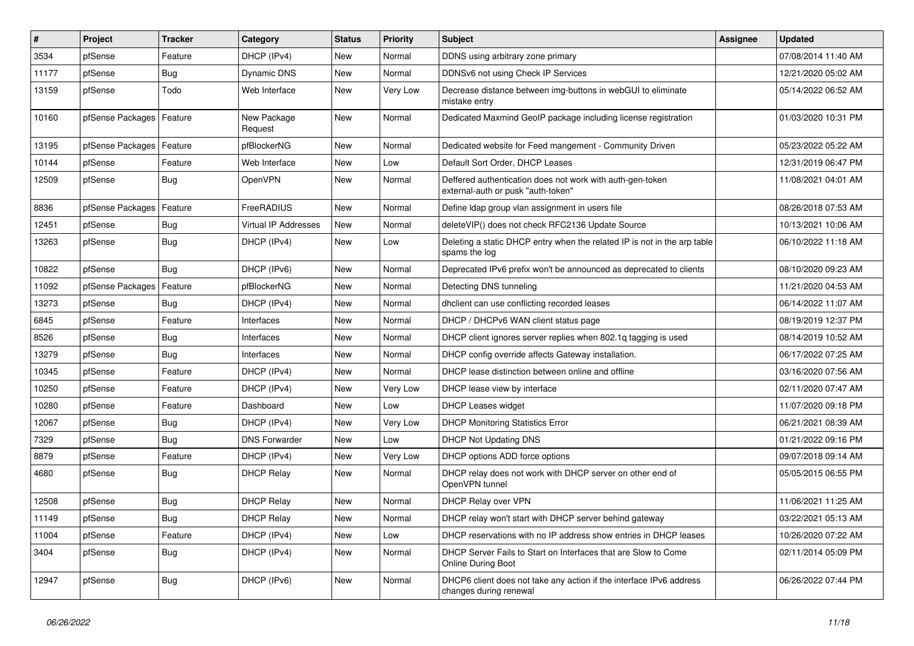| $\pmb{\#}$ | Project                    | <b>Tracker</b> | Category               | <b>Status</b> | <b>Priority</b> | <b>Subject</b>                                                                                  | <b>Assignee</b> | <b>Updated</b>      |
|------------|----------------------------|----------------|------------------------|---------------|-----------------|-------------------------------------------------------------------------------------------------|-----------------|---------------------|
| 3534       | pfSense                    | Feature        | DHCP (IPv4)            | New           | Normal          | DDNS using arbitrary zone primary                                                               |                 | 07/08/2014 11:40 AM |
| 11177      | pfSense                    | Bug            | <b>Dynamic DNS</b>     | <b>New</b>    | Normal          | DDNSv6 not using Check IP Services                                                              |                 | 12/21/2020 05:02 AM |
| 13159      | pfSense                    | Todo           | Web Interface          | New           | Very Low        | Decrease distance between img-buttons in webGUI to eliminate<br>mistake entry                   |                 | 05/14/2022 06:52 AM |
| 10160      | pfSense Packages           | Feature        | New Package<br>Request | New           | Normal          | Dedicated Maxmind GeoIP package including license registration                                  |                 | 01/03/2020 10:31 PM |
| 13195      | pfSense Packages   Feature |                | pfBlockerNG            | New           | Normal          | Dedicated website for Feed mangement - Community Driven                                         |                 | 05/23/2022 05:22 AM |
| 10144      | pfSense                    | Feature        | Web Interface          | <b>New</b>    | Low             | Default Sort Order, DHCP Leases                                                                 |                 | 12/31/2019 06:47 PM |
| 12509      | pfSense                    | <b>Bug</b>     | OpenVPN                | New           | Normal          | Deffered authentication does not work with auth-gen-token<br>external-auth or pusk "auth-token" |                 | 11/08/2021 04:01 AM |
| 8836       | pfSense Packages           | Feature        | FreeRADIUS             | New           | Normal          | Define Idap group vlan assignment in users file                                                 |                 | 08/26/2018 07:53 AM |
| 12451      | pfSense                    | Bug            | Virtual IP Addresses   | New           | Normal          | deleteVIP() does not check RFC2136 Update Source                                                |                 | 10/13/2021 10:06 AM |
| 13263      | pfSense                    | Bug            | DHCP (IPv4)            | New           | Low             | Deleting a static DHCP entry when the related IP is not in the arp table<br>spams the log       |                 | 06/10/2022 11:18 AM |
| 10822      | pfSense                    | <b>Bug</b>     | DHCP (IPv6)            | New           | Normal          | Deprecated IPv6 prefix won't be announced as deprecated to clients                              |                 | 08/10/2020 09:23 AM |
| 11092      | pfSense Packages           | Feature        | pfBlockerNG            | <b>New</b>    | Normal          | Detecting DNS tunneling                                                                         |                 | 11/21/2020 04:53 AM |
| 13273      | pfSense                    | <b>Bug</b>     | DHCP (IPv4)            | New           | Normal          | dhclient can use conflicting recorded leases                                                    |                 | 06/14/2022 11:07 AM |
| 6845       | pfSense                    | Feature        | Interfaces             | <b>New</b>    | Normal          | DHCP / DHCPv6 WAN client status page                                                            |                 | 08/19/2019 12:37 PM |
| 8526       | pfSense                    | <b>Bug</b>     | Interfaces             | New           | Normal          | DHCP client ignores server replies when 802.1q tagging is used                                  |                 | 08/14/2019 10:52 AM |
| 13279      | pfSense                    | <b>Bug</b>     | Interfaces             | <b>New</b>    | Normal          | DHCP config override affects Gateway installation.                                              |                 | 06/17/2022 07:25 AM |
| 10345      | pfSense                    | Feature        | DHCP (IPv4)            | <b>New</b>    | Normal          | DHCP lease distinction between online and offline                                               |                 | 03/16/2020 07:56 AM |
| 10250      | pfSense                    | Feature        | DHCP (IPv4)            | New           | <b>Very Low</b> | DHCP lease view by interface                                                                    |                 | 02/11/2020 07:47 AM |
| 10280      | pfSense                    | Feature        | Dashboard              | New           | Low             | <b>DHCP Leases widget</b>                                                                       |                 | 11/07/2020 09:18 PM |
| 12067      | pfSense                    | <b>Bug</b>     | DHCP (IPv4)            | New           | Very Low        | <b>DHCP Monitoring Statistics Error</b>                                                         |                 | 06/21/2021 08:39 AM |
| 7329       | pfSense                    | Bug            | <b>DNS Forwarder</b>   | New           | Low             | <b>DHCP Not Updating DNS</b>                                                                    |                 | 01/21/2022 09:16 PM |
| 8879       | pfSense                    | Feature        | DHCP (IPv4)            | New           | Very Low        | DHCP options ADD force options                                                                  |                 | 09/07/2018 09:14 AM |
| 4680       | pfSense                    | <b>Bug</b>     | <b>DHCP Relay</b>      | New           | Normal          | DHCP relay does not work with DHCP server on other end of<br>OpenVPN tunnel                     |                 | 05/05/2015 06:55 PM |
| 12508      | pfSense                    | <b>Bug</b>     | <b>DHCP Relay</b>      | <b>New</b>    | Normal          | DHCP Relay over VPN                                                                             |                 | 11/06/2021 11:25 AM |
| 11149      | pfSense                    | Bug            | DHCP Relay             | New           | Normal          | DHCP relay won't start with DHCP server behind gateway                                          |                 | 03/22/2021 05:13 AM |
| 11004      | pfSense                    | Feature        | DHCP (IPv4)            | New           | Low             | DHCP reservations with no IP address show entries in DHCP leases                                |                 | 10/26/2020 07:22 AM |
| 3404       | pfSense                    | <b>Bug</b>     | DHCP (IPv4)            | New           | Normal          | DHCP Server Fails to Start on Interfaces that are Slow to Come<br>Online During Boot            |                 | 02/11/2014 05:09 PM |
| 12947      | pfSense                    | <b>Bug</b>     | DHCP (IPv6)            | New           | Normal          | DHCP6 client does not take any action if the interface IPv6 address<br>changes during renewal   |                 | 06/26/2022 07:44 PM |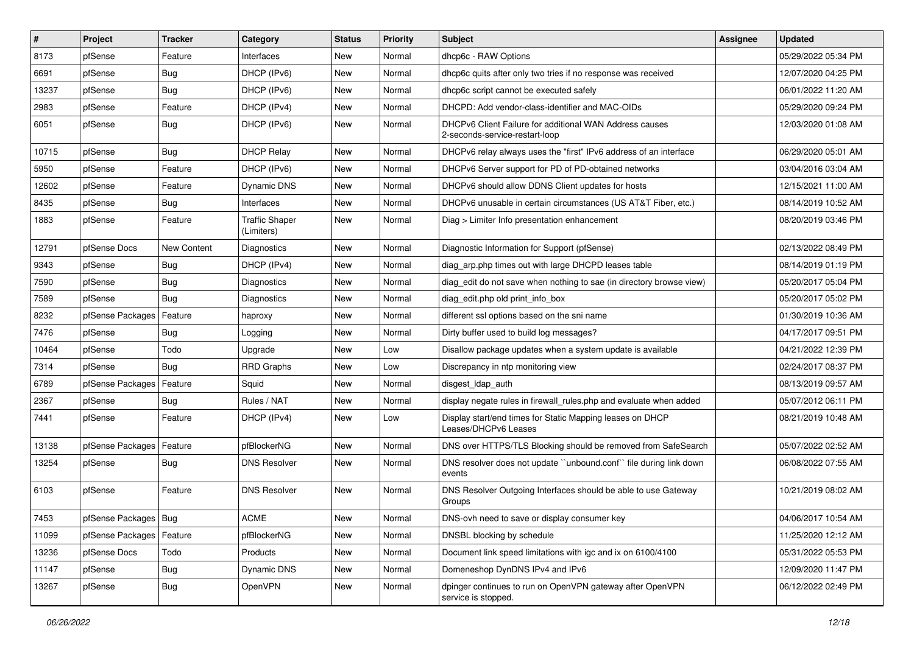| #     | Project                    | <b>Tracker</b> | Category                            | <b>Status</b> | <b>Priority</b> | <b>Subject</b>                                                                            | <b>Assignee</b> | <b>Updated</b>      |
|-------|----------------------------|----------------|-------------------------------------|---------------|-----------------|-------------------------------------------------------------------------------------------|-----------------|---------------------|
| 8173  | pfSense                    | Feature        | Interfaces                          | New           | Normal          | dhcp6c - RAW Options                                                                      |                 | 05/29/2022 05:34 PM |
| 6691  | pfSense                    | Bug            | DHCP (IPv6)                         | New           | Normal          | dhcp6c quits after only two tries if no response was received                             |                 | 12/07/2020 04:25 PM |
| 13237 | pfSense                    | Bug            | DHCP (IPv6)                         | New           | Normal          | dhcp6c script cannot be executed safely                                                   |                 | 06/01/2022 11:20 AM |
| 2983  | pfSense                    | Feature        | DHCP (IPv4)                         | New           | Normal          | DHCPD: Add vendor-class-identifier and MAC-OIDs                                           |                 | 05/29/2020 09:24 PM |
| 6051  | pfSense                    | <b>Bug</b>     | DHCP (IPv6)                         | New           | Normal          | DHCPv6 Client Failure for additional WAN Address causes<br>2-seconds-service-restart-loop |                 | 12/03/2020 01:08 AM |
| 10715 | pfSense                    | Bug            | <b>DHCP Relay</b>                   | New           | Normal          | DHCPv6 relay always uses the "first" IPv6 address of an interface                         |                 | 06/29/2020 05:01 AM |
| 5950  | pfSense                    | Feature        | DHCP (IPv6)                         | New           | Normal          | DHCPv6 Server support for PD of PD-obtained networks                                      |                 | 03/04/2016 03:04 AM |
| 12602 | pfSense                    | Feature        | Dynamic DNS                         | New           | Normal          | DHCPv6 should allow DDNS Client updates for hosts                                         |                 | 12/15/2021 11:00 AM |
| 8435  | pfSense                    | <b>Bug</b>     | Interfaces                          | New           | Normal          | DHCPv6 unusable in certain circumstances (US AT&T Fiber, etc.)                            |                 | 08/14/2019 10:52 AM |
| 1883  | pfSense                    | Feature        | <b>Traffic Shaper</b><br>(Limiters) | New           | Normal          | Diag > Limiter Info presentation enhancement                                              |                 | 08/20/2019 03:46 PM |
| 12791 | pfSense Docs               | New Content    | <b>Diagnostics</b>                  | New           | Normal          | Diagnostic Information for Support (pfSense)                                              |                 | 02/13/2022 08:49 PM |
| 9343  | pfSense                    | <b>Bug</b>     | DHCP (IPv4)                         | New           | Normal          | diag arp.php times out with large DHCPD leases table                                      |                 | 08/14/2019 01:19 PM |
| 7590  | pfSense                    | <b>Bug</b>     | Diagnostics                         | New           | Normal          | diag edit do not save when nothing to sae (in directory browse view)                      |                 | 05/20/2017 05:04 PM |
| 7589  | pfSense                    | Bug            | Diagnostics                         | New           | Normal          | diag edit.php old print info box                                                          |                 | 05/20/2017 05:02 PM |
| 8232  | pfSense Packages           | Feature        | haproxy                             | New           | Normal          | different ssl options based on the sni name                                               |                 | 01/30/2019 10:36 AM |
| 7476  | pfSense                    | <b>Bug</b>     | Logging                             | New           | Normal          | Dirty buffer used to build log messages?                                                  |                 | 04/17/2017 09:51 PM |
| 10464 | pfSense                    | Todo           | Upgrade                             | New           | Low             | Disallow package updates when a system update is available                                |                 | 04/21/2022 12:39 PM |
| 7314  | pfSense                    | <b>Bug</b>     | <b>RRD Graphs</b>                   | New           | Low             | Discrepancy in ntp monitoring view                                                        |                 | 02/24/2017 08:37 PM |
| 6789  | pfSense Packages           | Feature        | Squid                               | New           | Normal          | disgest Idap auth                                                                         |                 | 08/13/2019 09:57 AM |
| 2367  | pfSense                    | Bug            | Rules / NAT                         | New           | Normal          | display negate rules in firewall rules php and evaluate when added                        |                 | 05/07/2012 06:11 PM |
| 7441  | pfSense                    | Feature        | DHCP (IPv4)                         | New           | Low             | Display start/end times for Static Mapping leases on DHCP<br>Leases/DHCPv6 Leases         |                 | 08/21/2019 10:48 AM |
| 13138 | pfSense Packages           | Feature        | pfBlockerNG                         | New           | Normal          | DNS over HTTPS/TLS Blocking should be removed from SafeSearch                             |                 | 05/07/2022 02:52 AM |
| 13254 | pfSense                    | <b>Bug</b>     | <b>DNS Resolver</b>                 | New           | Normal          | DNS resolver does not update "unbound.conf" file during link down<br>events               |                 | 06/08/2022 07:55 AM |
| 6103  | pfSense                    | Feature        | <b>DNS Resolver</b>                 | New           | Normal          | DNS Resolver Outgoing Interfaces should be able to use Gateway<br>Groups                  |                 | 10/21/2019 08:02 AM |
| 7453  | pfSense Packages   Bug     |                | <b>ACME</b>                         | New           | Normal          | DNS-ovh need to save or display consumer key                                              |                 | 04/06/2017 10:54 AM |
| 11099 | pfSense Packages   Feature |                | pfBlockerNG                         | New           | Normal          | DNSBL blocking by schedule                                                                |                 | 11/25/2020 12:12 AM |
| 13236 | pfSense Docs               | Todo           | Products                            | New           | Normal          | Document link speed limitations with igc and ix on 6100/4100                              |                 | 05/31/2022 05:53 PM |
| 11147 | pfSense                    | <b>Bug</b>     | <b>Dynamic DNS</b>                  | New           | Normal          | Domeneshop DynDNS IPv4 and IPv6                                                           |                 | 12/09/2020 11:47 PM |
| 13267 | pfSense                    | Bug            | OpenVPN                             | New           | Normal          | dpinger continues to run on OpenVPN gateway after OpenVPN<br>service is stopped.          |                 | 06/12/2022 02:49 PM |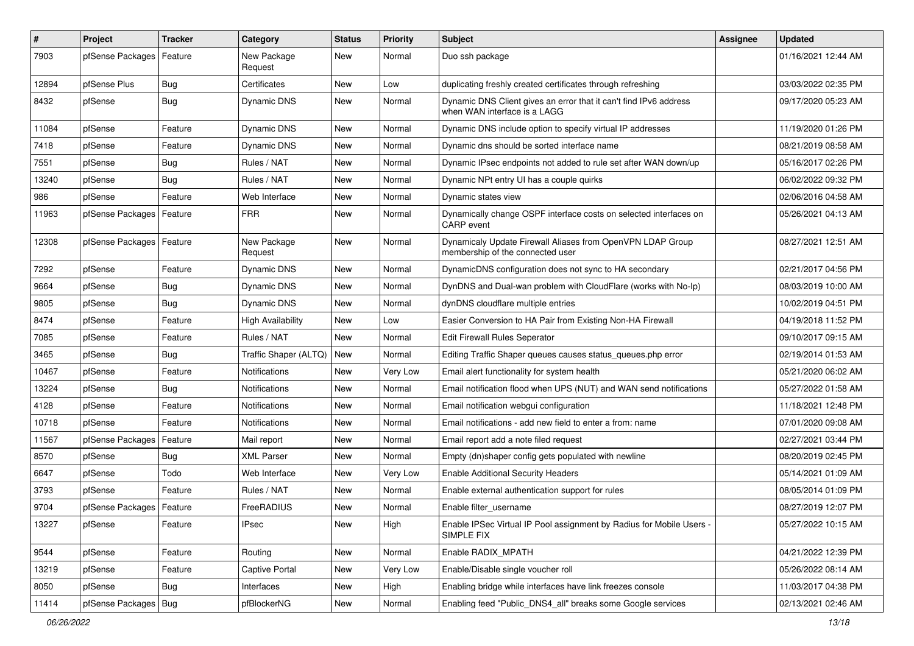| $\vert$ # | Project                    | <b>Tracker</b> | Category                 | <b>Status</b> | <b>Priority</b> | <b>Subject</b>                                                                                    | <b>Assignee</b> | <b>Updated</b>      |
|-----------|----------------------------|----------------|--------------------------|---------------|-----------------|---------------------------------------------------------------------------------------------------|-----------------|---------------------|
| 7903      | pfSense Packages           | Feature        | New Package<br>Request   | New           | Normal          | Duo ssh package                                                                                   |                 | 01/16/2021 12:44 AM |
| 12894     | pfSense Plus               | Bug            | Certificates             | New           | Low             | duplicating freshly created certificates through refreshing                                       |                 | 03/03/2022 02:35 PM |
| 8432      | pfSense                    | <b>Bug</b>     | <b>Dynamic DNS</b>       | New           | Normal          | Dynamic DNS Client gives an error that it can't find IPv6 address<br>when WAN interface is a LAGG |                 | 09/17/2020 05:23 AM |
| 11084     | pfSense                    | Feature        | <b>Dynamic DNS</b>       | New           | Normal          | Dynamic DNS include option to specify virtual IP addresses                                        |                 | 11/19/2020 01:26 PM |
| 7418      | pfSense                    | Feature        | Dynamic DNS              | New           | Normal          | Dynamic dns should be sorted interface name                                                       |                 | 08/21/2019 08:58 AM |
| 7551      | pfSense                    | <b>Bug</b>     | Rules / NAT              | New           | Normal          | Dynamic IPsec endpoints not added to rule set after WAN down/up                                   |                 | 05/16/2017 02:26 PM |
| 13240     | pfSense                    | Bug            | Rules / NAT              | New           | Normal          | Dynamic NPt entry UI has a couple quirks                                                          |                 | 06/02/2022 09:32 PM |
| 986       | pfSense                    | Feature        | Web Interface            | <b>New</b>    | Normal          | Dynamic states view                                                                               |                 | 02/06/2016 04:58 AM |
| 11963     | pfSense Packages           | Feature        | <b>FRR</b>               | New           | Normal          | Dynamically change OSPF interface costs on selected interfaces on<br><b>CARP</b> event            |                 | 05/26/2021 04:13 AM |
| 12308     | pfSense Packages           | Feature        | New Package<br>Request   | <b>New</b>    | Normal          | Dynamicaly Update Firewall Aliases from OpenVPN LDAP Group<br>membership of the connected user    |                 | 08/27/2021 12:51 AM |
| 7292      | pfSense                    | Feature        | <b>Dynamic DNS</b>       | New           | Normal          | DynamicDNS configuration does not sync to HA secondary                                            |                 | 02/21/2017 04:56 PM |
| 9664      | pfSense                    | <b>Bug</b>     | Dynamic DNS              | New           | Normal          | DynDNS and Dual-wan problem with CloudFlare (works with No-Ip)                                    |                 | 08/03/2019 10:00 AM |
| 9805      | pfSense                    | Bug            | <b>Dynamic DNS</b>       | New           | Normal          | dynDNS cloudflare multiple entries                                                                |                 | 10/02/2019 04:51 PM |
| 8474      | pfSense                    | Feature        | <b>High Availability</b> | <b>New</b>    | Low             | Easier Conversion to HA Pair from Existing Non-HA Firewall                                        |                 | 04/19/2018 11:52 PM |
| 7085      | pfSense                    | Feature        | Rules / NAT              | New           | Normal          | Edit Firewall Rules Seperator                                                                     |                 | 09/10/2017 09:15 AM |
| 3465      | pfSense                    | <b>Bug</b>     | Traffic Shaper (ALTQ)    | <b>New</b>    | Normal          | Editing Traffic Shaper queues causes status_queues.php error                                      |                 | 02/19/2014 01:53 AM |
| 10467     | pfSense                    | Feature        | Notifications            | New           | Very Low        | Email alert functionality for system health                                                       |                 | 05/21/2020 06:02 AM |
| 13224     | pfSense                    | Bug            | Notifications            | New           | Normal          | Email notification flood when UPS (NUT) and WAN send notifications                                |                 | 05/27/2022 01:58 AM |
| 4128      | pfSense                    | Feature        | Notifications            | New           | Normal          | Email notification webgui configuration                                                           |                 | 11/18/2021 12:48 PM |
| 10718     | pfSense                    | Feature        | Notifications            | New           | Normal          | Email notifications - add new field to enter a from: name                                         |                 | 07/01/2020 09:08 AM |
| 11567     | pfSense Packages           | Feature        | Mail report              | New           | Normal          | Email report add a note filed request                                                             |                 | 02/27/2021 03:44 PM |
| 8570      | pfSense                    | <b>Bug</b>     | <b>XML Parser</b>        | <b>New</b>    | Normal          | Empty (dn)shaper config gets populated with newline                                               |                 | 08/20/2019 02:45 PM |
| 6647      | pfSense                    | Todo           | Web Interface            | New           | Very Low        | <b>Enable Additional Security Headers</b>                                                         |                 | 05/14/2021 01:09 AM |
| 3793      | pfSense                    | Feature        | Rules / NAT              | New           | Normal          | Enable external authentication support for rules                                                  |                 | 08/05/2014 01:09 PM |
| 9704      | pfSense Packages   Feature |                | FreeRADIUS               | New           | Normal          | Enable filter_username                                                                            |                 | 08/27/2019 12:07 PM |
| 13227     | pfSense                    | Feature        | <b>IPsec</b>             | New           | High            | Enable IPSec Virtual IP Pool assignment by Radius for Mobile Users -<br>SIMPLE FIX                |                 | 05/27/2022 10:15 AM |
| 9544      | pfSense                    | Feature        | Routing                  | New           | Normal          | Enable RADIX_MPATH                                                                                |                 | 04/21/2022 12:39 PM |
| 13219     | pfSense                    | Feature        | Captive Portal           | New           | Very Low        | Enable/Disable single voucher roll                                                                |                 | 05/26/2022 08:14 AM |
| 8050      | pfSense                    | <b>Bug</b>     | Interfaces               | New           | High            | Enabling bridge while interfaces have link freezes console                                        |                 | 11/03/2017 04:38 PM |
| 11414     | pfSense Packages           | Bug            | pfBlockerNG              | New           | Normal          | Enabling feed "Public_DNS4_all" breaks some Google services                                       |                 | 02/13/2021 02:46 AM |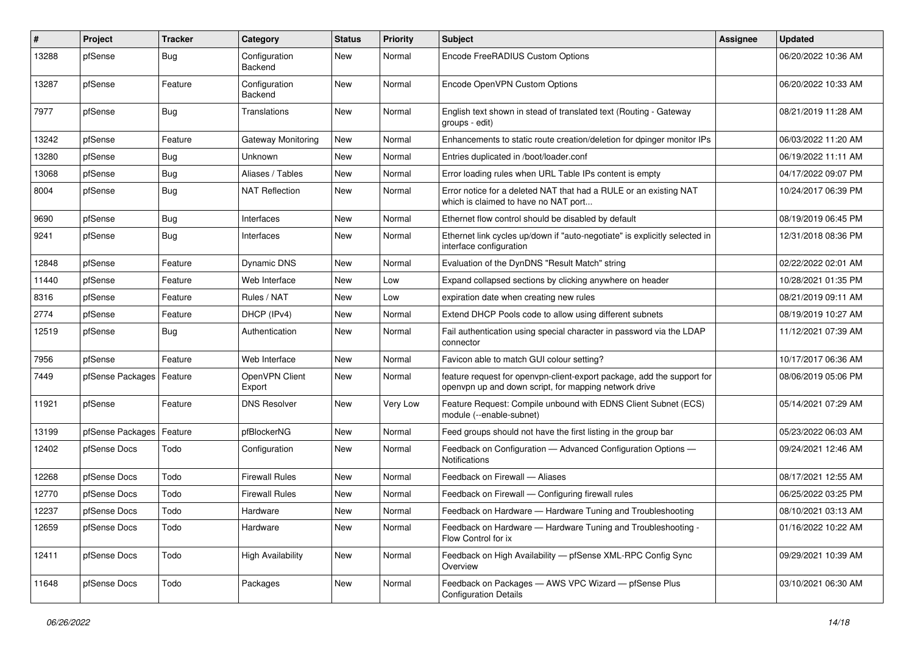| #     | Project          | Tracker    | Category                 | <b>Status</b> | <b>Priority</b> | <b>Subject</b>                                                                                                                  | <b>Assignee</b> | <b>Updated</b>      |
|-------|------------------|------------|--------------------------|---------------|-----------------|---------------------------------------------------------------------------------------------------------------------------------|-----------------|---------------------|
| 13288 | pfSense          | <b>Bug</b> | Configuration<br>Backend | <b>New</b>    | Normal          | Encode FreeRADIUS Custom Options                                                                                                |                 | 06/20/2022 10:36 AM |
| 13287 | pfSense          | Feature    | Configuration<br>Backend | <b>New</b>    | Normal          | Encode OpenVPN Custom Options                                                                                                   |                 | 06/20/2022 10:33 AM |
| 7977  | pfSense          | <b>Bug</b> | Translations             | New           | Normal          | English text shown in stead of translated text (Routing - Gateway<br>groups - edit)                                             |                 | 08/21/2019 11:28 AM |
| 13242 | pfSense          | Feature    | Gateway Monitoring       | New           | Normal          | Enhancements to static route creation/deletion for dpinger monitor IPs                                                          |                 | 06/03/2022 11:20 AM |
| 13280 | pfSense          | <b>Bug</b> | Unknown                  | <b>New</b>    | Normal          | Entries duplicated in /boot/loader.conf                                                                                         |                 | 06/19/2022 11:11 AM |
| 13068 | pfSense          | <b>Bug</b> | Aliases / Tables         | <b>New</b>    | Normal          | Error loading rules when URL Table IPs content is empty                                                                         |                 | 04/17/2022 09:07 PM |
| 8004  | pfSense          | Bug        | <b>NAT Reflection</b>    | <b>New</b>    | Normal          | Error notice for a deleted NAT that had a RULE or an existing NAT<br>which is claimed to have no NAT port                       |                 | 10/24/2017 06:39 PM |
| 9690  | pfSense          | Bug        | Interfaces               | <b>New</b>    | Normal          | Ethernet flow control should be disabled by default                                                                             |                 | 08/19/2019 06:45 PM |
| 9241  | pfSense          | <b>Bug</b> | Interfaces               | <b>New</b>    | Normal          | Ethernet link cycles up/down if "auto-negotiate" is explicitly selected in<br>interface configuration                           |                 | 12/31/2018 08:36 PM |
| 12848 | pfSense          | Feature    | Dynamic DNS              | <b>New</b>    | Normal          | Evaluation of the DynDNS "Result Match" string                                                                                  |                 | 02/22/2022 02:01 AM |
| 11440 | pfSense          | Feature    | Web Interface            | <b>New</b>    | Low             | Expand collapsed sections by clicking anywhere on header                                                                        |                 | 10/28/2021 01:35 PM |
| 8316  | pfSense          | Feature    | Rules / NAT              | New           | Low             | expiration date when creating new rules                                                                                         |                 | 08/21/2019 09:11 AM |
| 2774  | pfSense          | Feature    | DHCP (IPv4)              | <b>New</b>    | Normal          | Extend DHCP Pools code to allow using different subnets                                                                         |                 | 08/19/2019 10:27 AM |
| 12519 | pfSense          | <b>Bug</b> | Authentication           | <b>New</b>    | Normal          | Fail authentication using special character in password via the LDAP<br>connector                                               |                 | 11/12/2021 07:39 AM |
| 7956  | pfSense          | Feature    | Web Interface            | <b>New</b>    | Normal          | Favicon able to match GUI colour setting?                                                                                       |                 | 10/17/2017 06:36 AM |
| 7449  | pfSense Packages | Feature    | OpenVPN Client<br>Export | <b>New</b>    | Normal          | feature request for openvpn-client-export package, add the support for<br>openvpn up and down script, for mapping network drive |                 | 08/06/2019 05:06 PM |
| 11921 | pfSense          | Feature    | <b>DNS Resolver</b>      | <b>New</b>    | Very Low        | Feature Request: Compile unbound with EDNS Client Subnet (ECS)<br>module (--enable-subnet)                                      |                 | 05/14/2021 07:29 AM |
| 13199 | pfSense Packages | Feature    | pfBlockerNG              | <b>New</b>    | Normal          | Feed groups should not have the first listing in the group bar                                                                  |                 | 05/23/2022 06:03 AM |
| 12402 | pfSense Docs     | Todo       | Configuration            | <b>New</b>    | Normal          | Feedback on Configuration - Advanced Configuration Options -<br>Notifications                                                   |                 | 09/24/2021 12:46 AM |
| 12268 | pfSense Docs     | Todo       | <b>Firewall Rules</b>    | <b>New</b>    | Normal          | Feedback on Firewall - Aliases                                                                                                  |                 | 08/17/2021 12:55 AM |
| 12770 | pfSense Docs     | Todo       | <b>Firewall Rules</b>    | <b>New</b>    | Normal          | Feedback on Firewall - Configuring firewall rules                                                                               |                 | 06/25/2022 03:25 PM |
| 12237 | pfSense Docs     | Todo       | Hardware                 | New           | Normal          | Feedback on Hardware — Hardware Tuning and Troubleshooting                                                                      |                 | 08/10/2021 03:13 AM |
| 12659 | pfSense Docs     | Todo       | Hardware                 | New           | Normal          | Feedback on Hardware - Hardware Tuning and Troubleshooting -<br>Flow Control for ix                                             |                 | 01/16/2022 10:22 AM |
| 12411 | pfSense Docs     | Todo       | <b>High Availability</b> | New           | Normal          | Feedback on High Availability - pfSense XML-RPC Config Sync<br>Overview                                                         |                 | 09/29/2021 10:39 AM |
| 11648 | pfSense Docs     | Todo       | Packages                 | New           | Normal          | Feedback on Packages - AWS VPC Wizard - pfSense Plus<br><b>Configuration Details</b>                                            |                 | 03/10/2021 06:30 AM |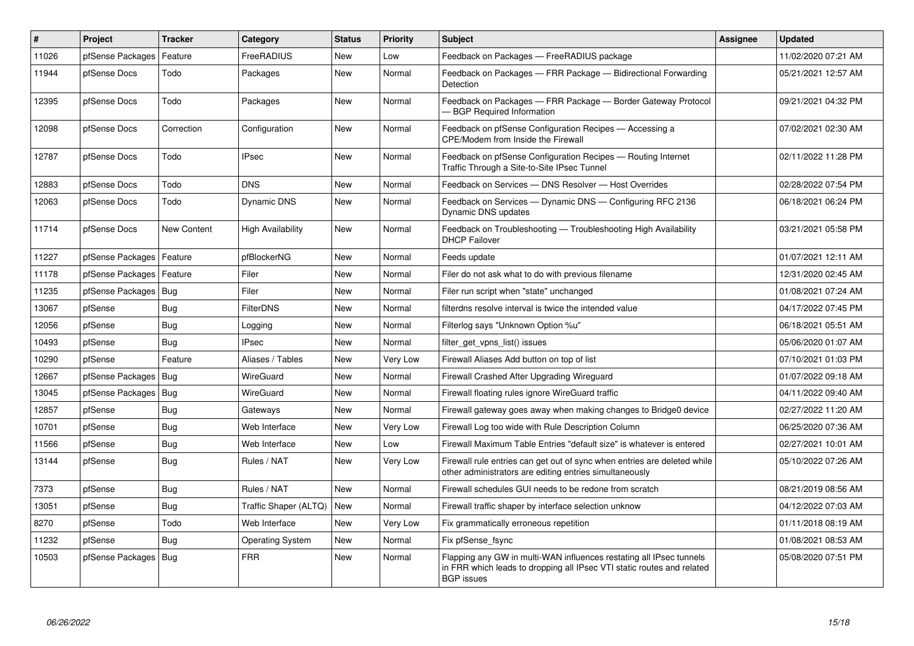| $\sharp$ | Project                | <b>Tracker</b> | Category                 | <b>Status</b> | <b>Priority</b> | <b>Subject</b>                                                                                                                                                     | <b>Assignee</b> | <b>Updated</b>      |
|----------|------------------------|----------------|--------------------------|---------------|-----------------|--------------------------------------------------------------------------------------------------------------------------------------------------------------------|-----------------|---------------------|
| 11026    | pfSense Packages       | Feature        | FreeRADIUS               | <b>New</b>    | Low             | Feedback on Packages - FreeRADIUS package                                                                                                                          |                 | 11/02/2020 07:21 AM |
| 11944    | pfSense Docs           | Todo           | Packages                 | New           | Normal          | Feedback on Packages - FRR Package - Bidirectional Forwarding<br>Detection                                                                                         |                 | 05/21/2021 12:57 AM |
| 12395    | pfSense Docs           | Todo           | Packages                 | <b>New</b>    | Normal          | Feedback on Packages - FRR Package - Border Gateway Protocol<br>- BGP Required Information                                                                         |                 | 09/21/2021 04:32 PM |
| 12098    | pfSense Docs           | Correction     | Configuration            | <b>New</b>    | Normal          | Feedback on pfSense Configuration Recipes - Accessing a<br><b>CPE/Modem from Inside the Firewall</b>                                                               |                 | 07/02/2021 02:30 AM |
| 12787    | pfSense Docs           | Todo           | <b>IPsec</b>             | <b>New</b>    | Normal          | Feedback on pfSense Configuration Recipes - Routing Internet<br>Traffic Through a Site-to-Site IPsec Tunnel                                                        |                 | 02/11/2022 11:28 PM |
| 12883    | pfSense Docs           | Todo           | <b>DNS</b>               | <b>New</b>    | Normal          | Feedback on Services - DNS Resolver - Host Overrides                                                                                                               |                 | 02/28/2022 07:54 PM |
| 12063    | pfSense Docs           | Todo           | <b>Dynamic DNS</b>       | <b>New</b>    | Normal          | Feedback on Services — Dynamic DNS — Configuring RFC 2136<br>Dynamic DNS updates                                                                                   |                 | 06/18/2021 06:24 PM |
| 11714    | pfSense Docs           | New Content    | <b>High Availability</b> | <b>New</b>    | Normal          | Feedback on Troubleshooting - Troubleshooting High Availability<br><b>DHCP Failover</b>                                                                            |                 | 03/21/2021 05:58 PM |
| 11227    | pfSense Packages       | Feature        | pfBlockerNG              | New           | Normal          | Feeds update                                                                                                                                                       |                 | 01/07/2021 12:11 AM |
| 11178    | pfSense Packages       | Feature        | Filer                    | <b>New</b>    | Normal          | Filer do not ask what to do with previous filename                                                                                                                 |                 | 12/31/2020 02:45 AM |
| 11235    | pfSense Packages   Bug |                | Filer                    | <b>New</b>    | Normal          | Filer run script when "state" unchanged                                                                                                                            |                 | 01/08/2021 07:24 AM |
| 13067    | pfSense                | Bug            | <b>FilterDNS</b>         | New           | Normal          | filterdns resolve interval is twice the intended value                                                                                                             |                 | 04/17/2022 07:45 PM |
| 12056    | pfSense                | <b>Bug</b>     | Logging                  | <b>New</b>    | Normal          | Filterlog says "Unknown Option %u"                                                                                                                                 |                 | 06/18/2021 05:51 AM |
| 10493    | pfSense                | Bug            | <b>IPsec</b>             | <b>New</b>    | Normal          | filter_get_vpns_list() issues                                                                                                                                      |                 | 05/06/2020 01:07 AM |
| 10290    | pfSense                | Feature        | Aliases / Tables         | <b>New</b>    | Very Low        | Firewall Aliases Add button on top of list                                                                                                                         |                 | 07/10/2021 01:03 PM |
| 12667    | pfSense Packages       | Bug            | WireGuard                | New           | Normal          | Firewall Crashed After Upgrading Wireguard                                                                                                                         |                 | 01/07/2022 09:18 AM |
| 13045    | pfSense Packages       | Bug            | WireGuard                | <b>New</b>    | Normal          | Firewall floating rules ignore WireGuard traffic                                                                                                                   |                 | 04/11/2022 09:40 AM |
| 12857    | pfSense                | <b>Bug</b>     | Gateways                 | New           | Normal          | Firewall gateway goes away when making changes to Bridge0 device                                                                                                   |                 | 02/27/2022 11:20 AM |
| 10701    | pfSense                | Bug            | Web Interface            | <b>New</b>    | Very Low        | Firewall Log too wide with Rule Description Column                                                                                                                 |                 | 06/25/2020 07:36 AM |
| 11566    | pfSense                | <b>Bug</b>     | Web Interface            | <b>New</b>    | Low             | Firewall Maximum Table Entries "default size" is whatever is entered                                                                                               |                 | 02/27/2021 10:01 AM |
| 13144    | pfSense                | <b>Bug</b>     | Rules / NAT              | New           | Very Low        | Firewall rule entries can get out of sync when entries are deleted while<br>other administrators are editing entries simultaneously                                |                 | 05/10/2022 07:26 AM |
| 7373     | pfSense                | <b>Bug</b>     | Rules / NAT              | <b>New</b>    | Normal          | Firewall schedules GUI needs to be redone from scratch                                                                                                             |                 | 08/21/2019 08:56 AM |
| 13051    | pfSense                | Bug            | Traffic Shaper (ALTQ)    | New           | Normal          | Firewall traffic shaper by interface selection unknow                                                                                                              |                 | 04/12/2022 07:03 AM |
| 8270     | pfSense                | Todo           | Web Interface            | New           | Very Low        | Fix grammatically erroneous repetition                                                                                                                             |                 | 01/11/2018 08:19 AM |
| 11232    | pfSense                | Bug            | <b>Operating System</b>  | New           | Normal          | Fix pfSense_fsync                                                                                                                                                  |                 | 01/08/2021 08:53 AM |
| 10503    | pfSense Packages       | Bug            | <b>FRR</b>               | <b>New</b>    | Normal          | Flapping any GW in multi-WAN influences restating all IPsec tunnels<br>in FRR which leads to dropping all IPsec VTI static routes and related<br><b>BGP</b> issues |                 | 05/08/2020 07:51 PM |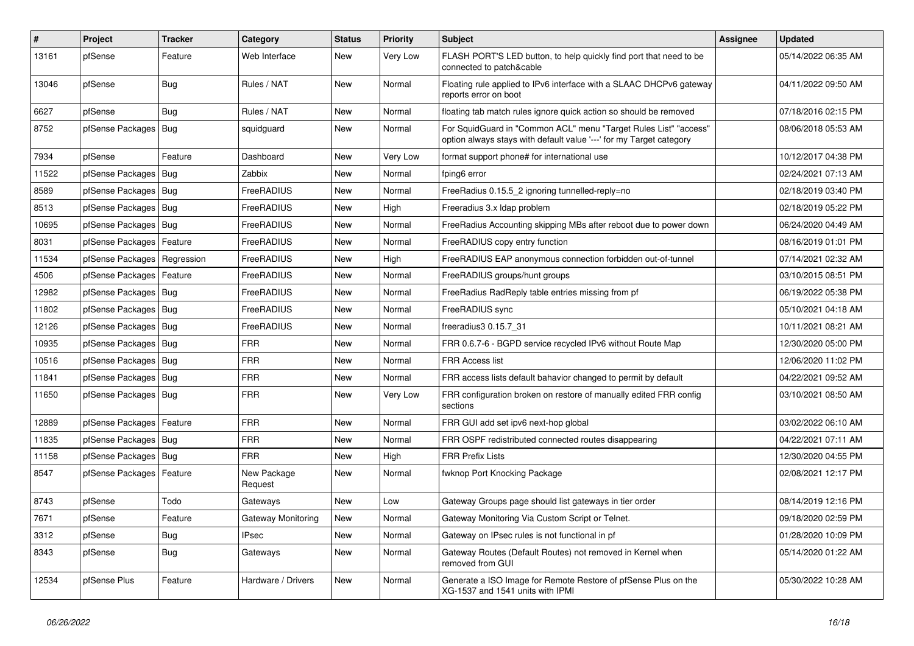| $\pmb{\#}$ | Project          | <b>Tracker</b> | Category               | <b>Status</b> | <b>Priority</b> | <b>Subject</b>                                                                                                                          | <b>Assignee</b> | <b>Updated</b>      |
|------------|------------------|----------------|------------------------|---------------|-----------------|-----------------------------------------------------------------------------------------------------------------------------------------|-----------------|---------------------|
| 13161      | pfSense          | Feature        | Web Interface          | <b>New</b>    | Very Low        | FLASH PORT'S LED button, to help quickly find port that need to be<br>connected to patch&cable                                          |                 | 05/14/2022 06:35 AM |
| 13046      | pfSense          | Bug            | Rules / NAT            | <b>New</b>    | Normal          | Floating rule applied to IPv6 interface with a SLAAC DHCPv6 gateway<br>reports error on boot                                            |                 | 04/11/2022 09:50 AM |
| 6627       | pfSense          | Bug            | Rules / NAT            | <b>New</b>    | Normal          | floating tab match rules ignore quick action so should be removed                                                                       |                 | 07/18/2016 02:15 PM |
| 8752       | pfSense Packages | <b>Bug</b>     | squidguard             | <b>New</b>    | Normal          | For SquidGuard in "Common ACL" menu "Target Rules List" "access"<br>option always stays with default value '---' for my Target category |                 | 08/06/2018 05:53 AM |
| 7934       | pfSense          | Feature        | Dashboard              | <b>New</b>    | Very Low        | format support phone# for international use                                                                                             |                 | 10/12/2017 04:38 PM |
| 11522      | pfSense Packages | <b>Bug</b>     | Zabbix                 | <b>New</b>    | Normal          | fping6 error                                                                                                                            |                 | 02/24/2021 07:13 AM |
| 8589       | pfSense Packages | Bug            | FreeRADIUS             | <b>New</b>    | Normal          | FreeRadius 0.15.5 2 ignoring tunnelled-reply=no                                                                                         |                 | 02/18/2019 03:40 PM |
| 8513       | pfSense Packages | Bug            | FreeRADIUS             | <b>New</b>    | High            | Freeradius 3.x Idap problem                                                                                                             |                 | 02/18/2019 05:22 PM |
| 10695      | pfSense Packages | Bug            | FreeRADIUS             | <b>New</b>    | Normal          | FreeRadius Accounting skipping MBs after reboot due to power down                                                                       |                 | 06/24/2020 04:49 AM |
| 8031       | pfSense Packages | Feature        | FreeRADIUS             | <b>New</b>    | Normal          | FreeRADIUS copy entry function                                                                                                          |                 | 08/16/2019 01:01 PM |
| 11534      | pfSense Packages | Regression     | FreeRADIUS             | <b>New</b>    | High            | FreeRADIUS EAP anonymous connection forbidden out-of-tunnel                                                                             |                 | 07/14/2021 02:32 AM |
| 4506       | pfSense Packages | Feature        | FreeRADIUS             | <b>New</b>    | Normal          | FreeRADIUS groups/hunt groups                                                                                                           |                 | 03/10/2015 08:51 PM |
| 12982      | pfSense Packages | Bug            | FreeRADIUS             | <b>New</b>    | Normal          | FreeRadius RadReply table entries missing from pf                                                                                       |                 | 06/19/2022 05:38 PM |
| 11802      | pfSense Packages | Bug            | FreeRADIUS             | <b>New</b>    | Normal          | FreeRADIUS sync                                                                                                                         |                 | 05/10/2021 04:18 AM |
| 12126      | pfSense Packages | Bug            | FreeRADIUS             | <b>New</b>    | Normal          | freeradius3 0.15.7 31                                                                                                                   |                 | 10/11/2021 08:21 AM |
| 10935      | pfSense Packages | <b>Bug</b>     | FRR                    | <b>New</b>    | Normal          | FRR 0.6.7-6 - BGPD service recycled IPv6 without Route Map                                                                              |                 | 12/30/2020 05:00 PM |
| 10516      | pfSense Packages | <b>Bug</b>     | <b>FRR</b>             | <b>New</b>    | Normal          | <b>FRR Access list</b>                                                                                                                  |                 | 12/06/2020 11:02 PM |
| 11841      | pfSense Packages | <b>Bug</b>     | FRR                    | <b>New</b>    | Normal          | FRR access lists default bahavior changed to permit by default                                                                          |                 | 04/22/2021 09:52 AM |
| 11650      | pfSense Packages | <b>Bug</b>     | FRR                    | New           | Very Low        | FRR configuration broken on restore of manually edited FRR config<br>sections                                                           |                 | 03/10/2021 08:50 AM |
| 12889      | pfSense Packages | Feature        | <b>FRR</b>             | <b>New</b>    | Normal          | FRR GUI add set ipv6 next-hop global                                                                                                    |                 | 03/02/2022 06:10 AM |
| 11835      | pfSense Packages | <b>Bug</b>     | <b>FRR</b>             | <b>New</b>    | Normal          | FRR OSPF redistributed connected routes disappearing                                                                                    |                 | 04/22/2021 07:11 AM |
| 11158      | pfSense Packages | <b>Bug</b>     | <b>FRR</b>             | <b>New</b>    | High            | FRR Prefix Lists                                                                                                                        |                 | 12/30/2020 04:55 PM |
| 8547       | pfSense Packages | Feature        | New Package<br>Request | <b>New</b>    | Normal          | fwknop Port Knocking Package                                                                                                            |                 | 02/08/2021 12:17 PM |
| 8743       | pfSense          | Todo           | Gateways               | <b>New</b>    | Low             | Gateway Groups page should list gateways in tier order                                                                                  |                 | 08/14/2019 12:16 PM |
| 7671       | pfSense          | Feature        | Gateway Monitoring     | <b>New</b>    | Normal          | Gateway Monitoring Via Custom Script or Telnet.                                                                                         |                 | 09/18/2020 02:59 PM |
| 3312       | pfSense          | Bug            | <b>IPsec</b>           | <b>New</b>    | Normal          | Gateway on IPsec rules is not functional in pf                                                                                          |                 | 01/28/2020 10:09 PM |
| 8343       | pfSense          | <b>Bug</b>     | Gateways               | <b>New</b>    | Normal          | Gateway Routes (Default Routes) not removed in Kernel when<br>removed from GUI                                                          |                 | 05/14/2020 01:22 AM |
| 12534      | pfSense Plus     | Feature        | Hardware / Drivers     | New           | Normal          | Generate a ISO Image for Remote Restore of pfSense Plus on the<br>XG-1537 and 1541 units with IPMI                                      |                 | 05/30/2022 10:28 AM |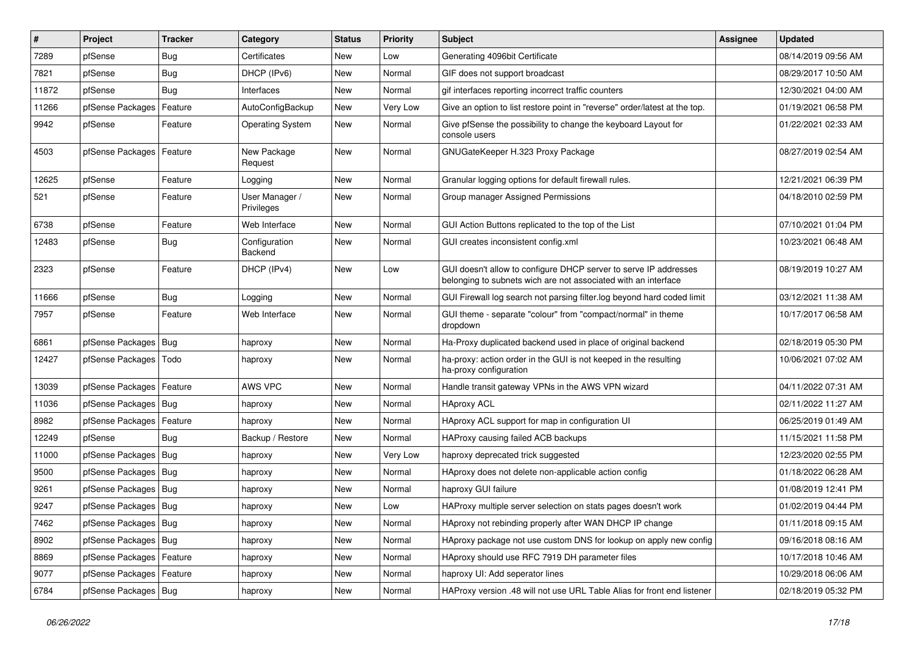| $\sharp$ | Project                    | <b>Tracker</b> | Category                     | <b>Status</b> | <b>Priority</b> | Subject                                                                                                                            | <b>Assignee</b> | <b>Updated</b>      |
|----------|----------------------------|----------------|------------------------------|---------------|-----------------|------------------------------------------------------------------------------------------------------------------------------------|-----------------|---------------------|
| 7289     | pfSense                    | Bug            | Certificates                 | New           | Low             | Generating 4096bit Certificate                                                                                                     |                 | 08/14/2019 09:56 AM |
| 7821     | pfSense                    | Bug            | DHCP (IPv6)                  | <b>New</b>    | Normal          | GIF does not support broadcast                                                                                                     |                 | 08/29/2017 10:50 AM |
| 11872    | pfSense                    | <b>Bug</b>     | Interfaces                   | New           | Normal          | gif interfaces reporting incorrect traffic counters                                                                                |                 | 12/30/2021 04:00 AM |
| 11266    | pfSense Packages   Feature |                | AutoConfigBackup             | New           | Very Low        | Give an option to list restore point in "reverse" order/latest at the top.                                                         |                 | 01/19/2021 06:58 PM |
| 9942     | pfSense                    | Feature        | <b>Operating System</b>      | New           | Normal          | Give pfSense the possibility to change the keyboard Layout for<br>console users                                                    |                 | 01/22/2021 02:33 AM |
| 4503     | pfSense Packages   Feature |                | New Package<br>Request       | New           | Normal          | GNUGateKeeper H.323 Proxy Package                                                                                                  |                 | 08/27/2019 02:54 AM |
| 12625    | pfSense                    | Feature        | Logging                      | New           | Normal          | Granular logging options for default firewall rules.                                                                               |                 | 12/21/2021 06:39 PM |
| 521      | pfSense                    | Feature        | User Manager /<br>Privileges | New           | Normal          | Group manager Assigned Permissions                                                                                                 |                 | 04/18/2010 02:59 PM |
| 6738     | pfSense                    | Feature        | Web Interface                | New           | Normal          | GUI Action Buttons replicated to the top of the List                                                                               |                 | 07/10/2021 01:04 PM |
| 12483    | pfSense                    | <b>Bug</b>     | Configuration<br>Backend     | New           | Normal          | GUI creates inconsistent config.xml                                                                                                |                 | 10/23/2021 06:48 AM |
| 2323     | pfSense                    | Feature        | DHCP (IPv4)                  | New           | Low             | GUI doesn't allow to configure DHCP server to serve IP addresses<br>belonging to subnets wich are not associated with an interface |                 | 08/19/2019 10:27 AM |
| 11666    | pfSense                    | <b>Bug</b>     | Logging                      | New           | Normal          | GUI Firewall log search not parsing filter.log beyond hard coded limit                                                             |                 | 03/12/2021 11:38 AM |
| 7957     | pfSense                    | Feature        | Web Interface                | New           | Normal          | GUI theme - separate "colour" from "compact/normal" in theme<br>dropdown                                                           |                 | 10/17/2017 06:58 AM |
| 6861     | pfSense Packages   Bug     |                | haproxy                      | New           | Normal          | Ha-Proxy duplicated backend used in place of original backend                                                                      |                 | 02/18/2019 05:30 PM |
| 12427    | pfSense Packages   Todo    |                | haproxy                      | New           | Normal          | ha-proxy: action order in the GUI is not keeped in the resulting<br>ha-proxy configuration                                         |                 | 10/06/2021 07:02 AM |
| 13039    | pfSense Packages   Feature |                | AWS VPC                      | <b>New</b>    | Normal          | Handle transit gateway VPNs in the AWS VPN wizard                                                                                  |                 | 04/11/2022 07:31 AM |
| 11036    | pfSense Packages   Bug     |                | haproxy                      | <b>New</b>    | Normal          | <b>HAproxy ACL</b>                                                                                                                 |                 | 02/11/2022 11:27 AM |
| 8982     | pfSense Packages           | Feature        | haproxy                      | New           | Normal          | HAproxy ACL support for map in configuration UI                                                                                    |                 | 06/25/2019 01:49 AM |
| 12249    | pfSense                    | Bug            | Backup / Restore             | New           | Normal          | HAProxy causing failed ACB backups                                                                                                 |                 | 11/15/2021 11:58 PM |
| 11000    | pfSense Packages   Bug     |                | haproxy                      | New           | Very Low        | haproxy deprecated trick suggested                                                                                                 |                 | 12/23/2020 02:55 PM |
| 9500     | pfSense Packages   Bug     |                | haproxy                      | New           | Normal          | HAproxy does not delete non-applicable action config                                                                               |                 | 01/18/2022 06:28 AM |
| 9261     | pfSense Packages   Bug     |                | haproxy                      | New           | Normal          | haproxy GUI failure                                                                                                                |                 | 01/08/2019 12:41 PM |
| 9247     | pfSense Packages   Bug     |                | haproxy                      | New           | Low             | HAProxy multiple server selection on stats pages doesn't work                                                                      |                 | 01/02/2019 04:44 PM |
| 7462     | pfSense Packages   Bug     |                | haproxy                      | New           | Normal          | HAproxy not rebinding properly after WAN DHCP IP change                                                                            |                 | 01/11/2018 09:15 AM |
| 8902     | pfSense Packages   Bug     |                | haproxy                      | New           | Normal          | HAproxy package not use custom DNS for lookup on apply new config                                                                  |                 | 09/16/2018 08:16 AM |
| 8869     | pfSense Packages   Feature |                | haproxy                      | New           | Normal          | HAproxy should use RFC 7919 DH parameter files                                                                                     |                 | 10/17/2018 10:46 AM |
| 9077     | pfSense Packages   Feature |                | haproxy                      | New           | Normal          | haproxy UI: Add seperator lines                                                                                                    |                 | 10/29/2018 06:06 AM |
| 6784     | pfSense Packages   Bug     |                | haproxy                      | New           | Normal          | HAProxy version .48 will not use URL Table Alias for front end listener                                                            |                 | 02/18/2019 05:32 PM |